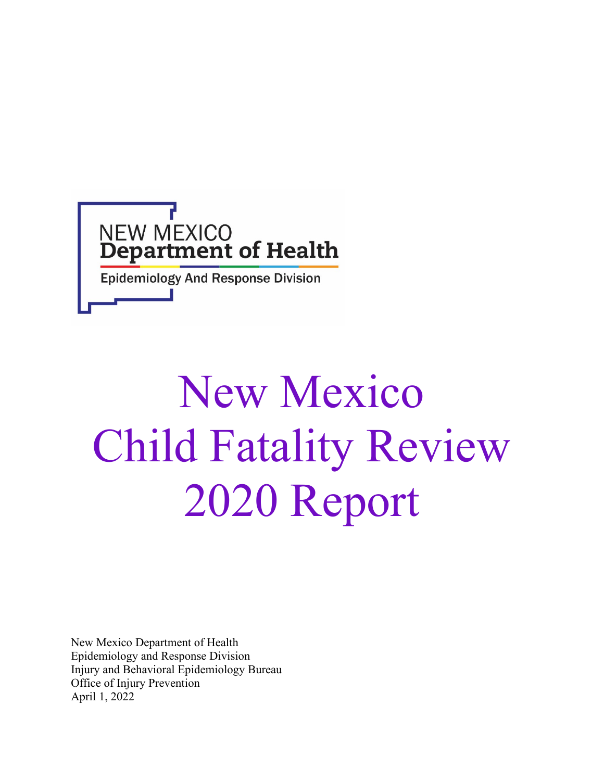

# New Mexico Child Fatality Review 2020 Report

New Mexico Department of Health Epidemiology and Response Division Injury and Behavioral Epidemiology Bureau Office of Injury Prevention April 1, 2022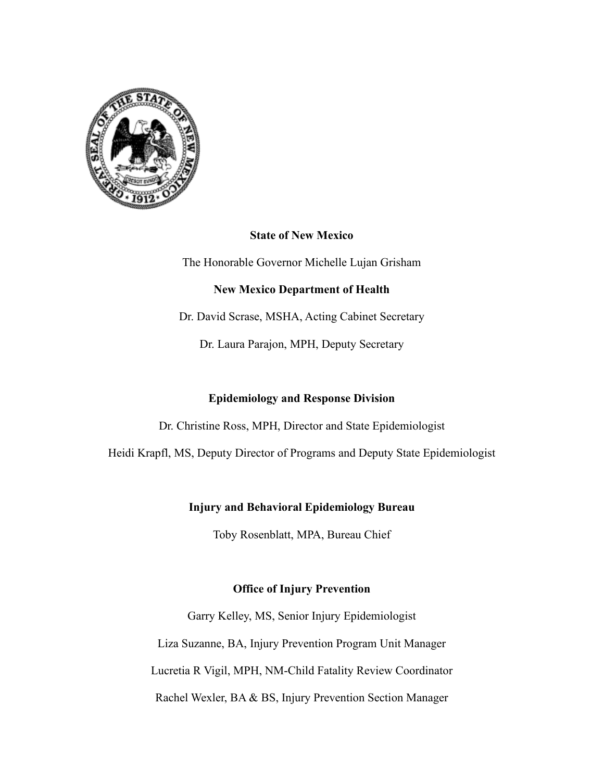

## **State of New Mexico**

The Honorable Governor Michelle Lujan Grisham

## **New Mexico Department of Health**

Dr. David Scrase, MSHA, Acting Cabinet Secretary

Dr. Laura Parajon, MPH, Deputy Secretary

## **Epidemiology and Response Division**

Dr. Christine Ross, MPH, Director and State Epidemiologist

Heidi Krapfl, MS, Deputy Director of Programs and Deputy State Epidemiologist

## **Injury and Behavioral Epidemiology Bureau**

Toby Rosenblatt, MPA, Bureau Chief

## **Office of Injury Prevention**

Garry Kelley, MS, Senior Injury Epidemiologist Liza Suzanne, BA, Injury Prevention Program Unit Manager Lucretia R Vigil, MPH, NM-Child Fatality Review Coordinator Rachel Wexler, BA & BS, Injury Prevention Section Manager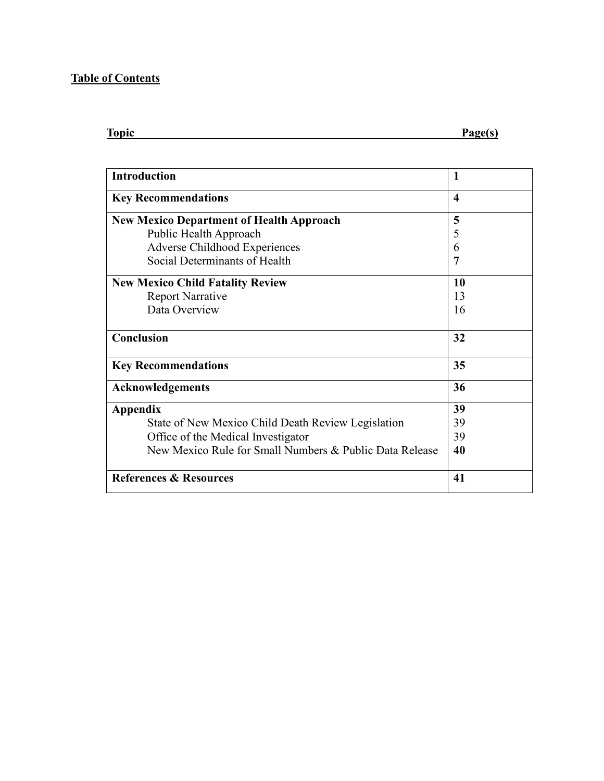## **Table of Contents**

| <b>Topic</b> | Page(s) |
|--------------|---------|
|              |         |

| <b>Introduction</b>                                     | 1                      |
|---------------------------------------------------------|------------------------|
| <b>Key Recommendations</b>                              | $\boldsymbol{\Lambda}$ |
| <b>New Mexico Department of Health Approach</b>         | 5                      |
| Public Health Approach                                  | 5                      |
| <b>Adverse Childhood Experiences</b>                    | 6                      |
| Social Determinants of Health                           | 7                      |
| <b>New Mexico Child Fatality Review</b>                 | 10                     |
| <b>Report Narrative</b>                                 | 13                     |
| Data Overview                                           | 16                     |
| Conclusion                                              | 32                     |
| <b>Key Recommendations</b>                              | 35                     |
| <b>Acknowledgements</b>                                 | 36                     |
| Appendix                                                | 39                     |
| State of New Mexico Child Death Review Legislation      | 39                     |
| Office of the Medical Investigator                      | 39                     |
| New Mexico Rule for Small Numbers & Public Data Release | 40                     |
| <b>References &amp; Resources</b>                       | 41                     |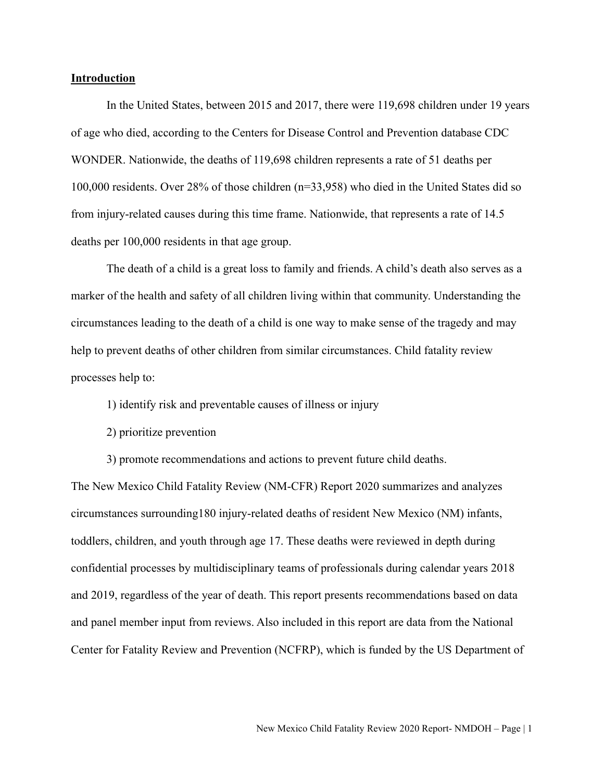#### **Introduction**

In the United States, between 2015 and 2017, there were 119,698 children under 19 years of age who died, according to the Centers for Disease Control and Prevention database CDC WONDER. Nationwide, the deaths of 119,698 children represents a rate of 51 deaths per 100,000 residents. Over 28% of those children (n=33,958) who died in the United States did so from injury-related causes during this time frame. Nationwide, that represents a rate of 14.5 deaths per 100,000 residents in that age group.

The death of a child is a great loss to family and friends. A child's death also serves as a marker of the health and safety of all children living within that community. Understanding the circumstances leading to the death of a child is one way to make sense of the tragedy and may help to prevent deaths of other children from similar circumstances. Child fatality review processes help to:

- 1) identify risk and preventable causes of illness or injury
- 2) prioritize prevention
- 3) promote recommendations and actions to prevent future child deaths.

The New Mexico Child Fatality Review (NM-CFR) Report 2020 summarizes and analyzes circumstances surrounding180 injury-related deaths of resident New Mexico (NM) infants, toddlers, children, and youth through age 17. These deaths were reviewed in depth during confidential processes by multidisciplinary teams of professionals during calendar years 2018 and 2019, regardless of the year of death. This report presents recommendations based on data and panel member input from reviews. Also included in this report are data from the National Center for Fatality Review and Prevention (NCFRP), which is funded by the US Department of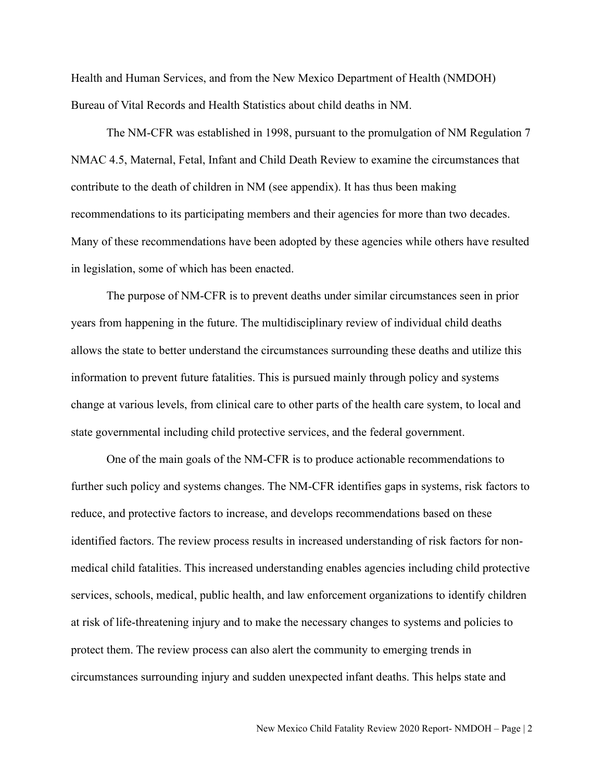Health and Human Services, and from the New Mexico Department of Health (NMDOH) Bureau of Vital Records and Health Statistics about child deaths in NM.

The NM-CFR was established in 1998, pursuant to the promulgation of NM Regulation 7 NMAC 4.5, Maternal, Fetal, Infant and Child Death Review to examine the circumstances that contribute to the death of children in NM (see appendix). It has thus been making recommendations to its participating members and their agencies for more than two decades. Many of these recommendations have been adopted by these agencies while others have resulted in legislation, some of which has been enacted.

The purpose of NM-CFR is to prevent deaths under similar circumstances seen in prior years from happening in the future. The multidisciplinary review of individual child deaths allows the state to better understand the circumstances surrounding these deaths and utilize this information to prevent future fatalities. This is pursued mainly through policy and systems change at various levels, from clinical care to other parts of the health care system, to local and state governmental including child protective services, and the federal government.

One of the main goals of the NM-CFR is to produce actionable recommendations to further such policy and systems changes. The NM-CFR identifies gaps in systems, risk factors to reduce, and protective factors to increase, and develops recommendations based on these identified factors. The review process results in increased understanding of risk factors for nonmedical child fatalities. This increased understanding enables agencies including child protective services, schools, medical, public health, and law enforcement organizations to identify children at risk of life-threatening injury and to make the necessary changes to systems and policies to protect them. The review process can also alert the community to emerging trends in circumstances surrounding injury and sudden unexpected infant deaths. This helps state and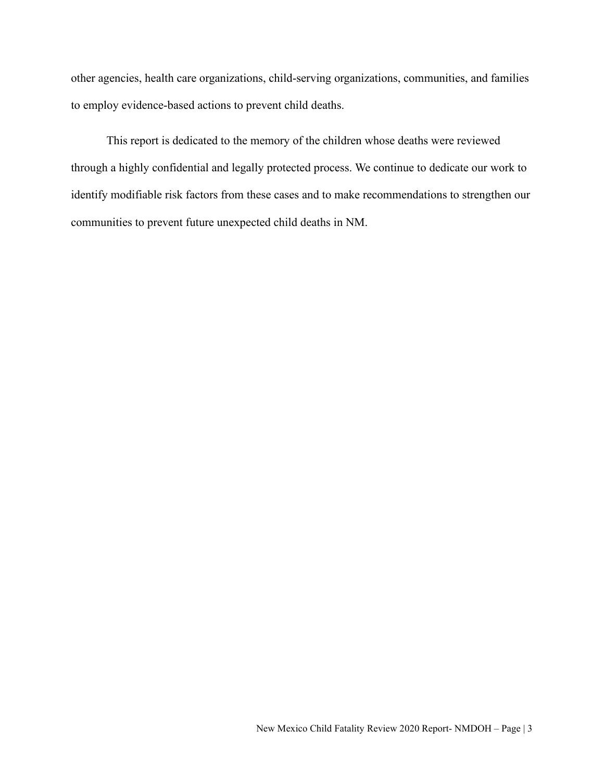other agencies, health care organizations, child-serving organizations, communities, and families to employ evidence-based actions to prevent child deaths.

This report is dedicated to the memory of the children whose deaths were reviewed through a highly confidential and legally protected process. We continue to dedicate our work to identify modifiable risk factors from these cases and to make recommendations to strengthen our communities to prevent future unexpected child deaths in NM.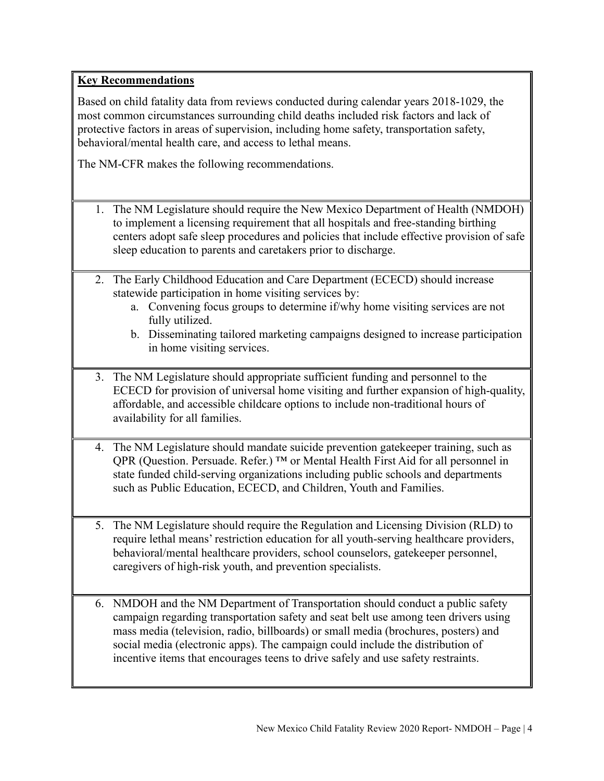## **Key Recommendations**

Based on child fatality data from reviews conducted during calendar years 2018-1029, the most common circumstances surrounding child deaths included risk factors and lack of protective factors in areas of supervision, including home safety, transportation safety, behavioral/mental health care, and access to lethal means.

The NM-CFR makes the following recommendations.

- 1. The NM Legislature should require the New Mexico Department of Health (NMDOH) to implement a licensing requirement that all hospitals and free-standing birthing centers adopt safe sleep procedures and policies that include effective provision of safe sleep education to parents and caretakers prior to discharge.
- 2. The Early Childhood Education and Care Department (ECECD) should increase statewide participation in home visiting services by:
	- a. Convening focus groups to determine if/why home visiting services are not fully utilized.
	- b. Disseminating tailored marketing campaigns designed to increase participation in home visiting services.
- 3. The NM Legislature should appropriate sufficient funding and personnel to the ECECD for provision of universal home visiting and further expansion of high-quality, affordable, and accessible childcare options to include non-traditional hours of availability for all families.
- 4. The NM Legislature should mandate suicide prevention gatekeeper training, such as QPR (Question. Persuade. Refer.) ™ or Mental Health First Aid for all personnel in state funded child-serving organizations including public schools and departments such as Public Education, ECECD, and Children, Youth and Families.
- 5. The NM Legislature should require the Regulation and Licensing Division (RLD) to require lethal means' restriction education for all youth-serving healthcare providers, behavioral/mental healthcare providers, school counselors, gatekeeper personnel, caregivers of high-risk youth, and prevention specialists.
- 6. NMDOH and the NM Department of Transportation should conduct a public safety campaign regarding transportation safety and seat belt use among teen drivers using mass media (television, radio, billboards) or small media (brochures, posters) and social media (electronic apps). The campaign could include the distribution of incentive items that encourages teens to drive safely and use safety restraints.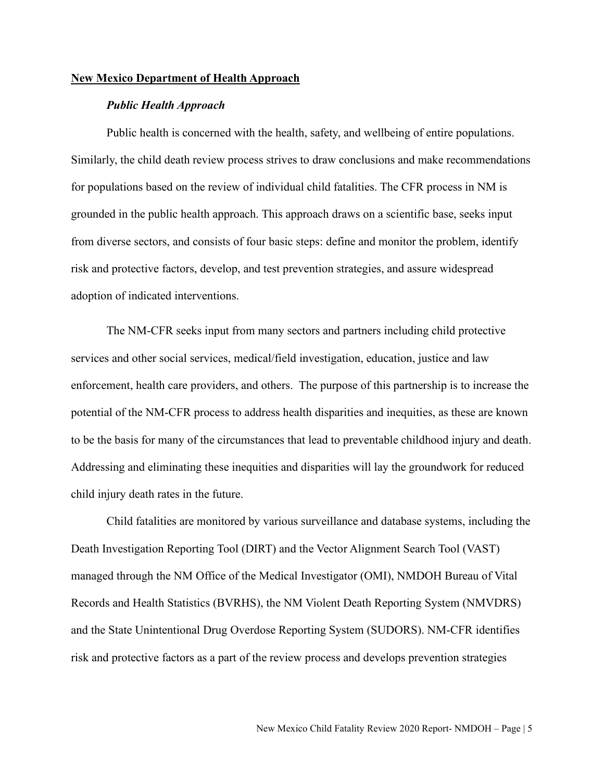#### **New Mexico Department of Health Approach**

#### *Public Health Approach*

Public health is concerned with the health, safety, and wellbeing of entire populations. Similarly, the child death review process strives to draw conclusions and make recommendations for populations based on the review of individual child fatalities. The CFR process in NM is grounded in the public health approach. This approach draws on a scientific base, seeks input from diverse sectors, and consists of four basic steps: define and monitor the problem, identify risk and protective factors, develop, and test prevention strategies, and assure widespread adoption of indicated interventions.

The NM-CFR seeks input from many sectors and partners including child protective services and other social services, medical/field investigation, education, justice and law enforcement, health care providers, and others. The purpose of this partnership is to increase the potential of the NM-CFR process to address health disparities and inequities, as these are known to be the basis for many of the circumstances that lead to preventable childhood injury and death. Addressing and eliminating these inequities and disparities will lay the groundwork for reduced child injury death rates in the future.

Child fatalities are monitored by various surveillance and database systems, including the Death Investigation Reporting Tool (DIRT) and the Vector Alignment Search Tool (VAST) managed through the NM Office of the Medical Investigator (OMI), NMDOH Bureau of Vital Records and Health Statistics (BVRHS), the NM Violent Death Reporting System (NMVDRS) and the State Unintentional Drug Overdose Reporting System (SUDORS). NM-CFR identifies risk and protective factors as a part of the review process and develops prevention strategies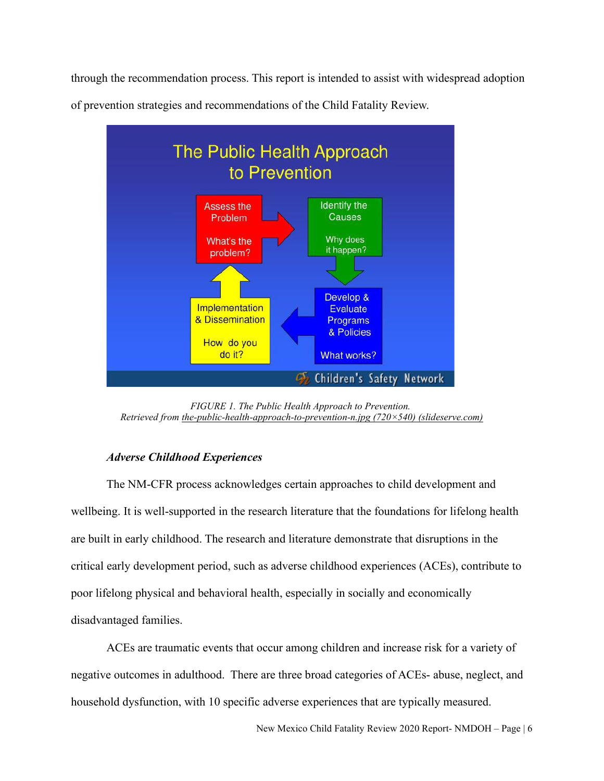through the recommendation process. This report is intended to assist with widespread adoption



of prevention strategies and recommendations of the Child Fatality Review.

*FIGURE 1. The Public Health Approach to Prevention. Retrieved from [the-public-health-approach-to-prevention-n.jpg \(720×540\) \(slideserve.com\)](https://image3.slideserve.com/6893868/the-public-health-approach-to-prevention-n.jpg)*

## *Adverse Childhood Experiences*

The NM-CFR process acknowledges certain approaches to child development and wellbeing. It is well-supported in the research literature that the foundations for lifelong health are built in early childhood. The research and literature demonstrate that disruptions in the critical early development period, such as adverse childhood experiences (ACEs), contribute to poor lifelong physical and behavioral health, especially in socially and economically disadvantaged families.

ACEs are traumatic events that occur among children and increase risk for a variety of negative outcomes in adulthood. There are three broad categories of ACEs- abuse, neglect, and household dysfunction, with 10 specific adverse experiences that are typically measured.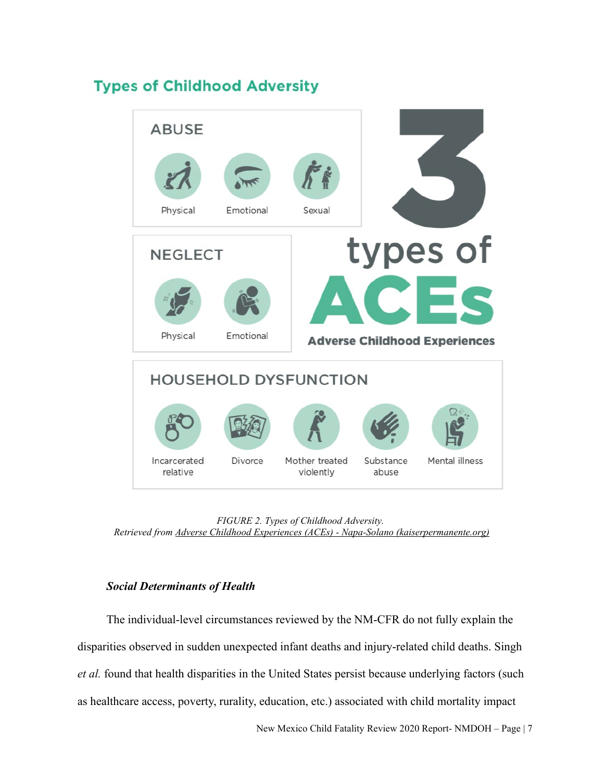## **Types of Childhood Adversity**



*FIGURE 2. Types of Childhood Adversity. Retrieved from [Adverse Childhood Experiences \(ACEs\) - Napa-Solano \(kaiserpermanente.org\)](https://thrive.kaiserpermanente.org/care-near-you/northern-california/napasolano/health-resources/adverse-childhood-experiences-aces/)*

## *Social Determinants of Health*

The individual-level circumstances reviewed by the NM-CFR do not fully explain the disparities observed in sudden unexpected infant deaths and injury-related child deaths. Singh *et al.* found that health disparities in the United States persist because underlying factors (such as healthcare access, poverty, rurality, education, etc.) associated with child mortality impact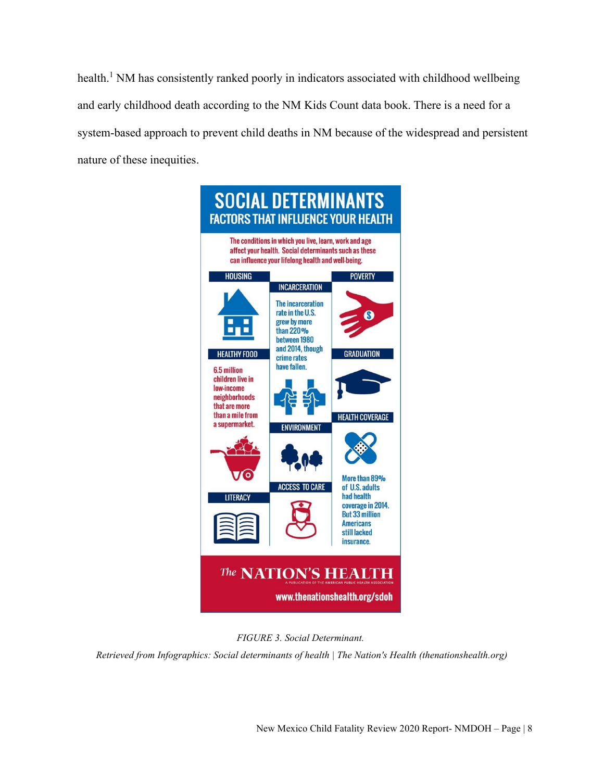health.<sup>1</sup> NM has consistently ranked poorly in indicators associated with childhood wellbeing and early childhood death according to the NM Kids Count data book. There is a need for a system-based approach to prevent child deaths in NM because of the widespread and persistent nature of these inequities.





 *Retrieved from [Infographics: Social determinants of health | The Nation's Health \(thenationshealth.org\)](https://www.thenationshealth.org/content/infographics-social-determinants-health)*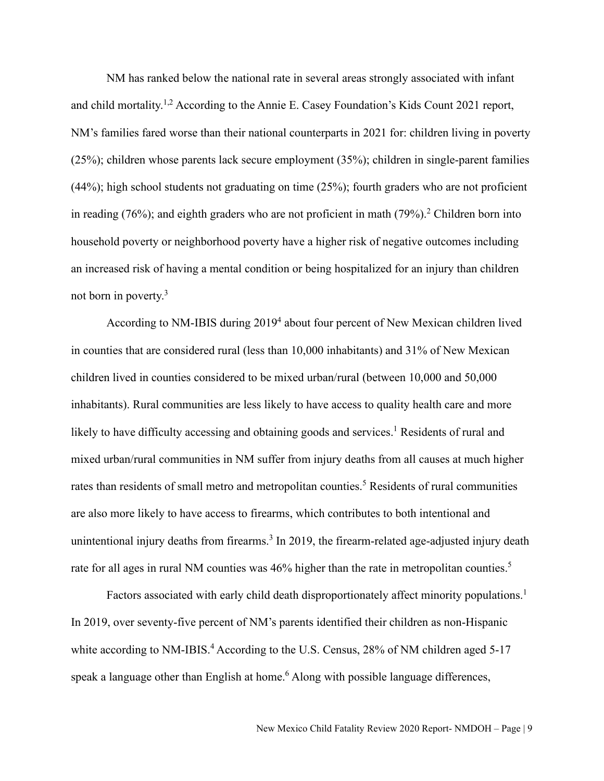NM has ranked below the national rate in several areas strongly associated with infant and child mortality.<sup>1,2</sup> According to the Annie E. Casey Foundation's Kids Count 2021 report, NM's families fared worse than their national counterparts in 2021 for: children living in poverty (25%); children whose parents lack secure employment (35%); children in single-parent families (44%); high school students not graduating on time (25%); fourth graders who are not proficient in reading (76%); and eighth graders who are not proficient in math (79%).<sup>2</sup> Children born into household poverty or neighborhood poverty have a higher risk of negative outcomes including an increased risk of having a mental condition or being hospitalized for an injury than children not born in poverty.3

According to NM-IBIS during 2019<sup>4</sup> about four percent of New Mexican children lived in counties that are considered rural (less than 10,000 inhabitants) and 31% of New Mexican children lived in counties considered to be mixed urban/rural (between 10,000 and 50,000 inhabitants). Rural communities are less likely to have access to quality health care and more likely to have difficulty accessing and obtaining goods and services.<sup>1</sup> Residents of rural and mixed urban/rural communities in NM suffer from injury deaths from all causes at much higher rates than residents of small metro and metropolitan counties.<sup>5</sup> Residents of rural communities are also more likely to have access to firearms, which contributes to both intentional and unintentional injury deaths from firearms.<sup>3</sup> In 2019, the firearm-related age-adjusted injury death rate for all ages in rural NM counties was 46% higher than the rate in metropolitan counties.<sup>5</sup>

Factors associated with early child death disproportionately affect minority populations.<sup>1</sup> In 2019, over seventy-five percent of NM's parents identified their children as non-Hispanic white according to NM-IBIS.<sup>4</sup> According to the U.S. Census, 28% of NM children aged 5-17 speak a language other than English at home.<sup>6</sup> Along with possible language differences,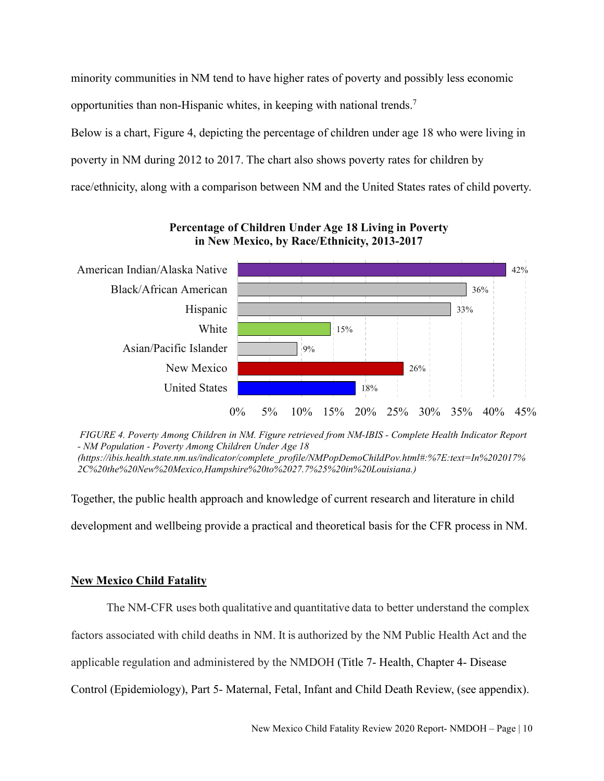minority communities in NM tend to have higher rates of poverty and possibly less economic opportunities than non-Hispanic whites, in keeping with national trends.<sup>7</sup> Below is a chart, Figure 4, depicting the percentage of children under age 18 who were living in poverty in NM during 2012 to 2017. The chart also shows poverty rates for children by race/ethnicity, along with a comparison between NM and the United States rates of child poverty.



**Percentage of Children Under Age 18 Living in Poverty in New Mexico, by Race/Ethnicity, 2013-2017**

*FIGURE 4. Poverty Among Children in NM. Figure retrieved from NM-IBIS - Complete Health Indicator Report - NM Population - Poverty Among Children Under Age 18 (https://ibis.health.state.nm.us/indicator/complete\_profile/NMPopDemoChildPov.html#:%7E:text=In%202017% 2C%20the%20New%20Mexico,Hampshire%20to%2027.7%25%20in%20Louisiana.)* 

Together, the public health approach and knowledge of current research and literature in child

development and wellbeing provide a practical and theoretical basis for the CFR process in NM.

## **New Mexico Child Fatality**

The NM-CFR uses both qualitative and quantitative data to better understand the complex

factors associated with child deaths in NM. It is authorized by the NM Public Health Act and the

applicable regulation and administered by the NMDOH (Title 7- Health, Chapter 4- Disease

Control (Epidemiology), Part 5- Maternal, Fetal, Infant and Child Death Review, (see appendix).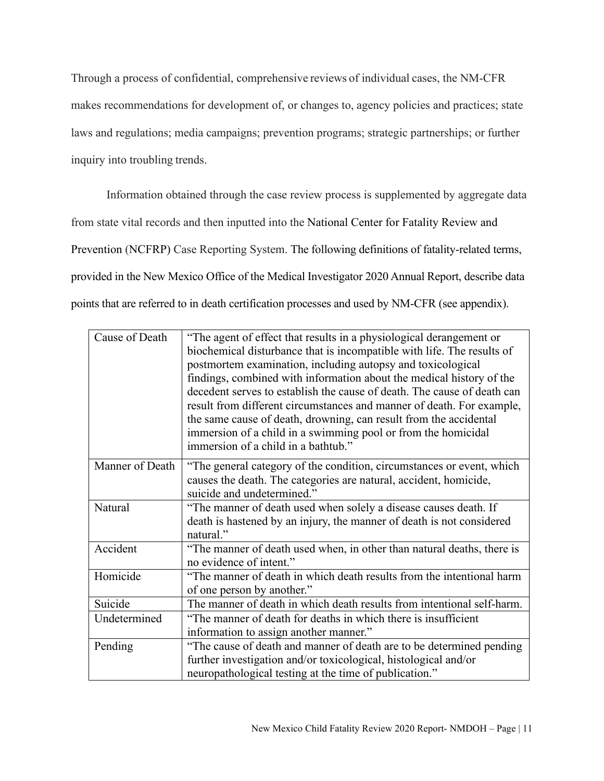Through a process of confidential, comprehensive reviews of individual cases, the NM-CFR makes recommendations for development of, or changes to, agency policies and practices; state laws and regulations; media campaigns; prevention programs; strategic partnerships; or further inquiry into troubling trends.

Information obtained through the case review process is supplemented by aggregate data from state vital records and then inputted into the National Center for Fatality Review and Prevention (NCFRP) Case Reporting System. The following definitions of fatality-related terms, provided in the New Mexico Office of the Medical Investigator 2020 Annual Report, describe data points that are referred to in death certification processes and used by NM-CFR (see appendix).

| Cause of Death  | "The agent of effect that results in a physiological derangement or     |
|-----------------|-------------------------------------------------------------------------|
|                 | biochemical disturbance that is incompatible with life. The results of  |
|                 | postmortem examination, including autopsy and toxicological             |
|                 | findings, combined with information about the medical history of the    |
|                 | decedent serves to establish the cause of death. The cause of death can |
|                 | result from different circumstances and manner of death. For example,   |
|                 | the same cause of death, drowning, can result from the accidental       |
|                 | immersion of a child in a swimming pool or from the homicidal           |
|                 | immersion of a child in a bathtub."                                     |
| Manner of Death | "The general category of the condition, circumstances or event, which   |
|                 | causes the death. The categories are natural, accident, homicide,       |
|                 | suicide and undetermined."                                              |
| <b>Natural</b>  | "The manner of death used when solely a disease causes death. If        |
|                 | death is hastened by an injury, the manner of death is not considered   |
|                 | natural."                                                               |
| Accident        | "The manner of death used when, in other than natural deaths, there is  |
|                 | no evidence of intent."                                                 |
| Homicide        | "The manner of death in which death results from the intentional harm   |
|                 | of one person by another."                                              |
| Suicide         | The manner of death in which death results from intentional self-harm.  |
| Undetermined    | "The manner of death for deaths in which there is insufficient          |
|                 | information to assign another manner."                                  |
| Pending         | "The cause of death and manner of death are to be determined pending    |
|                 | further investigation and/or toxicological, histological and/or         |
|                 | neuropathological testing at the time of publication."                  |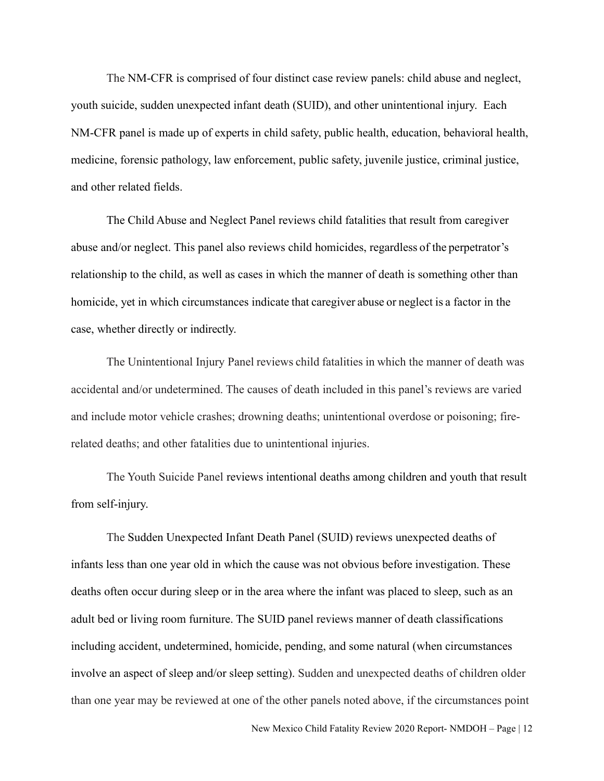The NM-CFR is comprised of four distinct case review panels: child abuse and neglect, youth suicide, sudden unexpected infant death (SUID), and other unintentional injury. Each NM-CFR panel is made up of experts in child safety, public health, education, behavioral health, medicine, forensic pathology, law enforcement, public safety, juvenile justice, criminal justice, and other related fields.

The Child Abuse and Neglect Panel reviews child fatalities that result from caregiver abuse and/or neglect. This panel also reviews child homicides, regardless of the perpetrator's relationship to the child, as well as cases in which the manner of death is something other than homicide, yet in which circumstances indicate that caregiver abuse or neglect is a factor in the case, whether directly or indirectly.

The Unintentional Injury Panel reviews child fatalities in which the manner of death was accidental and/or undetermined. The causes of death included in this panel's reviews are varied and include motor vehicle crashes; drowning deaths; unintentional overdose or poisoning; firerelated deaths; and other fatalities due to unintentional injuries.

The Youth Suicide Panel reviews intentional deaths among children and youth that result from self-injury.

The Sudden Unexpected Infant Death Panel (SUID) reviews unexpected deaths of infants less than one year old in which the cause was not obvious before investigation. These deaths often occur during sleep or in the area where the infant was placed to sleep, such as an adult bed or living room furniture. The SUID panel reviews manner of death classifications including accident, undetermined, homicide, pending, and some natural (when circumstances involve an aspect of sleep and/or sleep setting). Sudden and unexpected deaths of children older than one year may be reviewed at one of the other panels noted above, if the circumstances point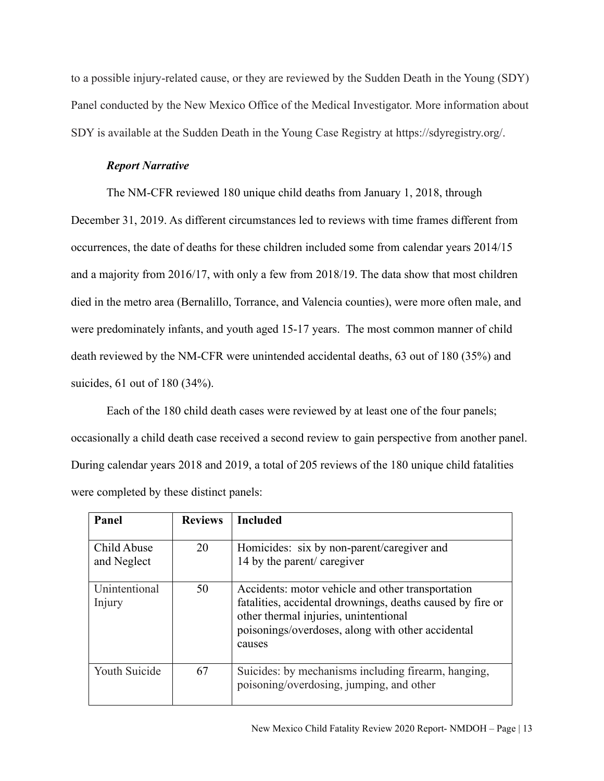to a possible injury-related cause, or they are reviewed by the Sudden Death in the Young (SDY) Panel conducted by the New Mexico Office of the Medical Investigator. More information about SDY is available at the Sudden Death in the Young Case Registry at https://sdyregistry.org/.

#### *Report Narrative*

The NM-CFR reviewed 180 unique child deaths from January 1, 2018, through

December 31, 2019. As different circumstances led to reviews with time frames different from occurrences, the date of deaths for these children included some from calendar years 2014/15 and a majority from 2016/17, with only a few from 2018/19. The data show that most children died in the metro area (Bernalillo, Torrance, and Valencia counties), were more often male, and were predominately infants, and youth aged 15-17 years. The most common manner of child death reviewed by the NM-CFR were unintended accidental deaths, 63 out of 180 (35%) and suicides, 61 out of 180 (34%).

Each of the 180 child death cases were reviewed by at least one of the four panels; occasionally a child death case received a second review to gain perspective from another panel. During calendar years 2018 and 2019, a total of 205 reviews of the 180 unique child fatalities were completed by these distinct panels:

| Panel                      | <b>Reviews</b> | <b>Included</b>                                                                                                                                                                                                         |
|----------------------------|----------------|-------------------------------------------------------------------------------------------------------------------------------------------------------------------------------------------------------------------------|
| Child Abuse<br>and Neglect | 20             | Homicides: six by non-parent/caregiver and<br>14 by the parent/ caregiver                                                                                                                                               |
| Unintentional<br>Injury    | 50             | Accidents: motor vehicle and other transportation<br>fatalities, accidental drownings, deaths caused by fire or<br>other thermal injuries, unintentional<br>poisonings/overdoses, along with other accidental<br>causes |
| Youth Suicide              | 67             | Suicides: by mechanisms including firearm, hanging,<br>poisoning/overdosing, jumping, and other                                                                                                                         |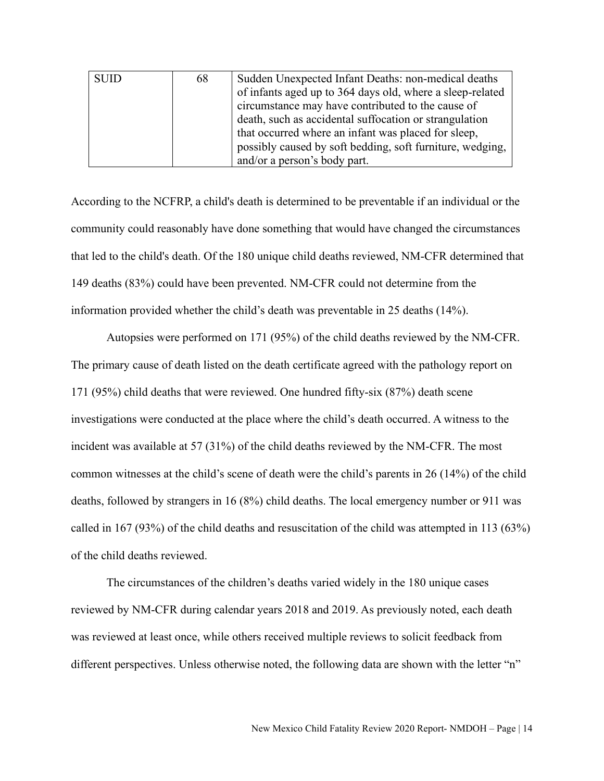| <b>SUID</b> | 68 | Sudden Unexpected Infant Deaths: non-medical deaths       |
|-------------|----|-----------------------------------------------------------|
|             |    | of infants aged up to 364 days old, where a sleep-related |
|             |    | circumstance may have contributed to the cause of         |
|             |    | death, such as accidental suffocation or strangulation    |
|             |    | that occurred where an infant was placed for sleep,       |
|             |    | possibly caused by soft bedding, soft furniture, wedging, |
|             |    | and/or a person's body part.                              |

According to the NCFRP, a child's death is determined to be preventable if an individual or the community could reasonably have done something that would have changed the circumstances that led to the child's death. Of the 180 unique child deaths reviewed, NM-CFR determined that 149 deaths (83%) could have been prevented. NM-CFR could not determine from the information provided whether the child's death was preventable in 25 deaths (14%).

Autopsies were performed on 171 (95%) of the child deaths reviewed by the NM-CFR. The primary cause of death listed on the death certificate agreed with the pathology report on 171 (95%) child deaths that were reviewed. One hundred fifty-six (87%) death scene investigations were conducted at the place where the child's death occurred. A witness to the incident was available at 57 (31%) of the child deaths reviewed by the NM-CFR. The most common witnesses at the child's scene of death were the child's parents in 26 (14%) of the child deaths, followed by strangers in 16 (8%) child deaths. The local emergency number or 911 was called in 167 (93%) of the child deaths and resuscitation of the child was attempted in 113 (63%) of the child deaths reviewed.

The circumstances of the children's deaths varied widely in the 180 unique cases reviewed by NM-CFR during calendar years 2018 and 2019. As previously noted, each death was reviewed at least once, while others received multiple reviews to solicit feedback from different perspectives. Unless otherwise noted, the following data are shown with the letter "n"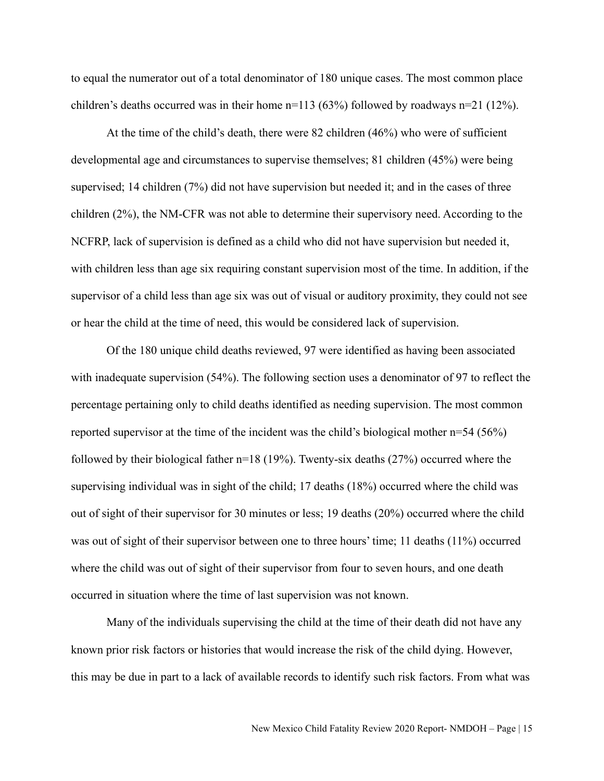to equal the numerator out of a total denominator of 180 unique cases. The most common place children's deaths occurred was in their home  $n=113$  (63%) followed by roadways  $n=21$  (12%).

At the time of the child's death, there were 82 children (46%) who were of sufficient developmental age and circumstances to supervise themselves; 81 children (45%) were being supervised; 14 children (7%) did not have supervision but needed it; and in the cases of three children (2%), the NM-CFR was not able to determine their supervisory need. According to the NCFRP, lack of supervision is defined as a child who did not have supervision but needed it, with children less than age six requiring constant supervision most of the time. In addition, if the supervisor of a child less than age six was out of visual or auditory proximity, they could not see or hear the child at the time of need, this would be considered lack of supervision.

Of the 180 unique child deaths reviewed, 97 were identified as having been associated with inadequate supervision (54%). The following section uses a denominator of 97 to reflect the percentage pertaining only to child deaths identified as needing supervision. The most common reported supervisor at the time of the incident was the child's biological mother n=54 (56%) followed by their biological father n=18 (19%). Twenty-six deaths (27%) occurred where the supervising individual was in sight of the child; 17 deaths (18%) occurred where the child was out of sight of their supervisor for 30 minutes or less; 19 deaths (20%) occurred where the child was out of sight of their supervisor between one to three hours' time; 11 deaths (11%) occurred where the child was out of sight of their supervisor from four to seven hours, and one death occurred in situation where the time of last supervision was not known.

Many of the individuals supervising the child at the time of their death did not have any known prior risk factors or histories that would increase the risk of the child dying. However, this may be due in part to a lack of available records to identify such risk factors. From what was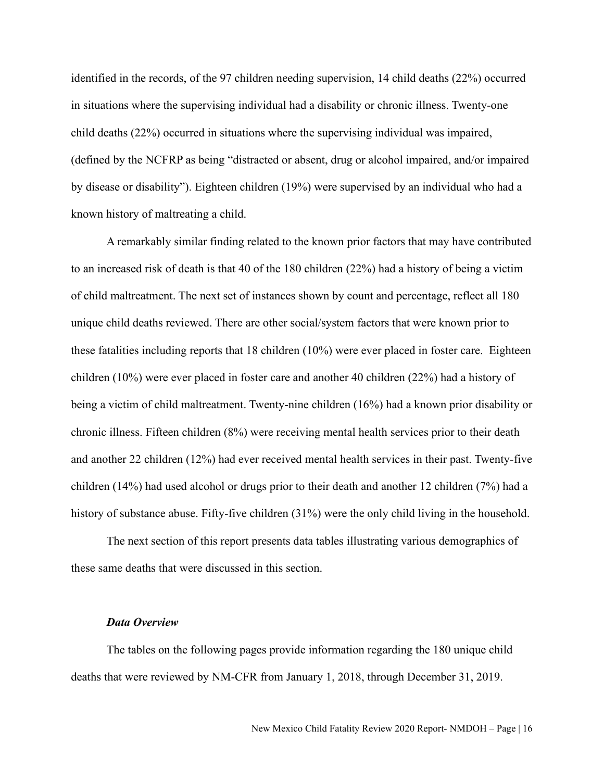identified in the records, of the 97 children needing supervision, 14 child deaths (22%) occurred in situations where the supervising individual had a disability or chronic illness. Twenty-one child deaths (22%) occurred in situations where the supervising individual was impaired, (defined by the NCFRP as being "distracted or absent, drug or alcohol impaired, and/or impaired by disease or disability"). Eighteen children (19%) were supervised by an individual who had a known history of maltreating a child.

A remarkably similar finding related to the known prior factors that may have contributed to an increased risk of death is that 40 of the 180 children (22%) had a history of being a victim of child maltreatment. The next set of instances shown by count and percentage, reflect all 180 unique child deaths reviewed. There are other social/system factors that were known prior to these fatalities including reports that 18 children (10%) were ever placed in foster care. Eighteen children (10%) were ever placed in foster care and another 40 children (22%) had a history of being a victim of child maltreatment. Twenty-nine children (16%) had a known prior disability or chronic illness. Fifteen children (8%) were receiving mental health services prior to their death and another 22 children (12%) had ever received mental health services in their past. Twenty-five children (14%) had used alcohol or drugs prior to their death and another 12 children (7%) had a history of substance abuse. Fifty-five children (31%) were the only child living in the household.

The next section of this report presents data tables illustrating various demographics of these same deaths that were discussed in this section.

#### *Data Overview*

The tables on the following pages provide information regarding the 180 unique child deaths that were reviewed by NM-CFR from January 1, 2018, through December 31, 2019.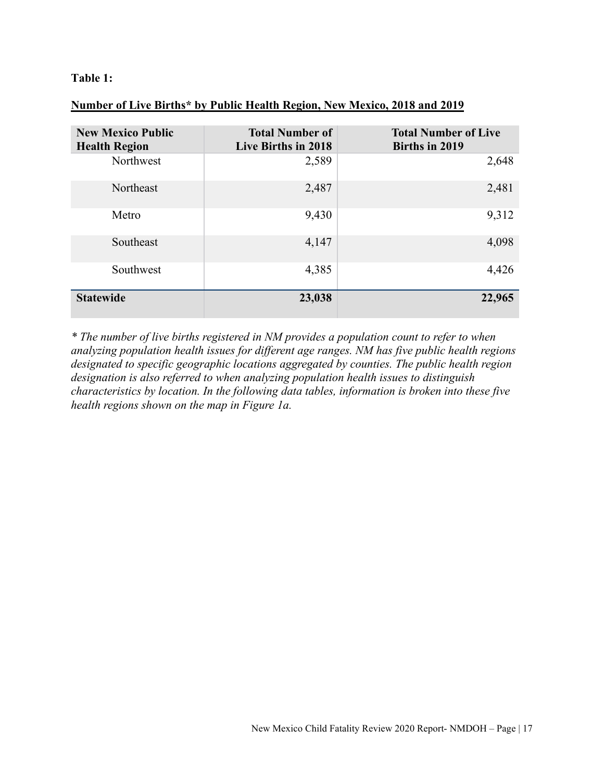## **Table 1:**

## **Number of Live Births\* by Public Health Region, New Mexico, 2018 and 2019**

| <b>New Mexico Public</b><br><b>Health Region</b> | <b>Total Number of</b><br>Live Births in 2018 | <b>Total Number of Live</b><br>Births in 2019 |
|--------------------------------------------------|-----------------------------------------------|-----------------------------------------------|
| Northwest                                        | 2,589                                         | 2,648                                         |
| Northeast                                        | 2,487                                         | 2,481                                         |
| Metro                                            | 9,430                                         | 9,312                                         |
| Southeast                                        | 4,147                                         | 4,098                                         |
| Southwest                                        | 4,385                                         | 4,426                                         |
| <b>Statewide</b>                                 | 23,038                                        | 22,965                                        |

*\* The number of live births registered in NM provides a population count to refer to when analyzing population health issues for different age ranges. NM has five public health regions designated to specific geographic locations aggregated by counties. The public health region designation is also referred to when analyzing population health issues to distinguish characteristics by location. In the following data tables, information is broken into these five health regions shown on the map in Figure 1a.*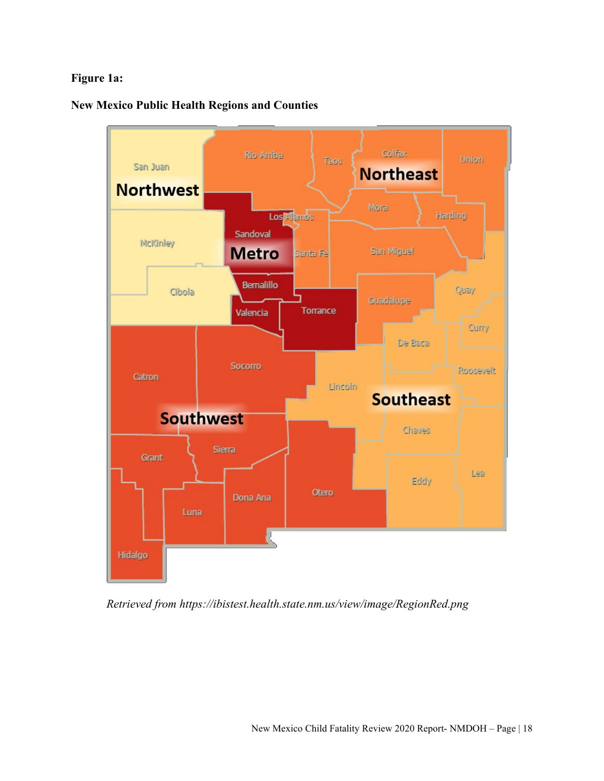## **Figure 1a:**

## **New Mexico Public Health Regions and Counties**



*Retrieved from https://ibistest.health.state.nm.us/view/image/RegionRed.png*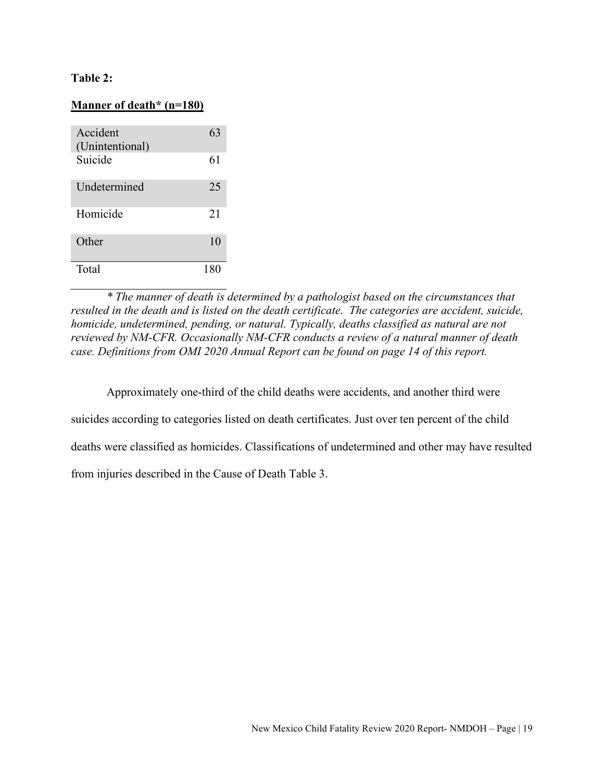## **Table 2:**

#### **Manner of death\* (n=180)**

| Accident<br>(Unintentional) | 63  |
|-----------------------------|-----|
| Suicide                     | 61  |
| Undetermined                | 25  |
| Homicide                    | 21  |
| Other                       | 10  |
| Total                       | 180 |

*\* The manner of death is determined by a pathologist based on the circumstances that resulted in the death and is listed on the death certificate. The categories are accident, suicide, homicide, undetermined, pending, or natural. Typically, deaths classified as natural are not reviewed by NM-CFR. Occasionally NM-CFR conducts a review of a natural manner of death case. Definitions from OMI 2020 Annual Report can be found on page 14 of this report.* 

Approximately one-third of the child deaths were accidents, and another third were

suicides according to categories listed on death certificates. Just over ten percent of the child

deaths were classified as homicides. Classifications of undetermined and other may have resulted

from injuries described in the Cause of Death Table 3.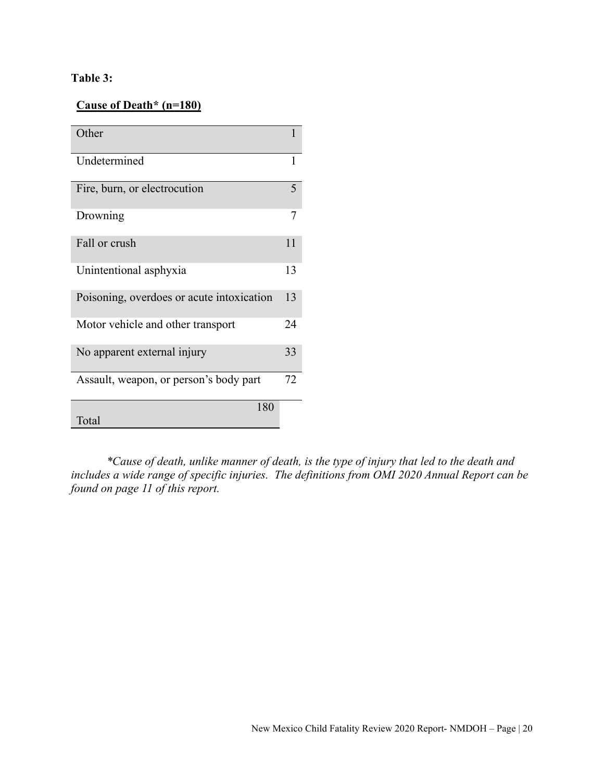## **Table 3:**

## **Cause of Death\* (n=180)**

| Other                                     | 1  |
|-------------------------------------------|----|
| Undetermined                              | 1  |
| Fire, burn, or electrocution              | 5  |
| Drowning                                  | 7  |
| Fall or crush                             | 11 |
| Unintentional asphyxia                    | 13 |
| Poisoning, overdoes or acute intoxication | 13 |
| Motor vehicle and other transport         | 24 |
| No apparent external injury               | 33 |
| Assault, weapon, or person's body part    | 72 |
| 180<br>Total                              |    |

*\*Cause of death, unlike manner of death, is the type of injury that led to the death and includes a wide range of specific injuries. The definitions from OMI 2020 Annual Report can be found on page 11 of this report.*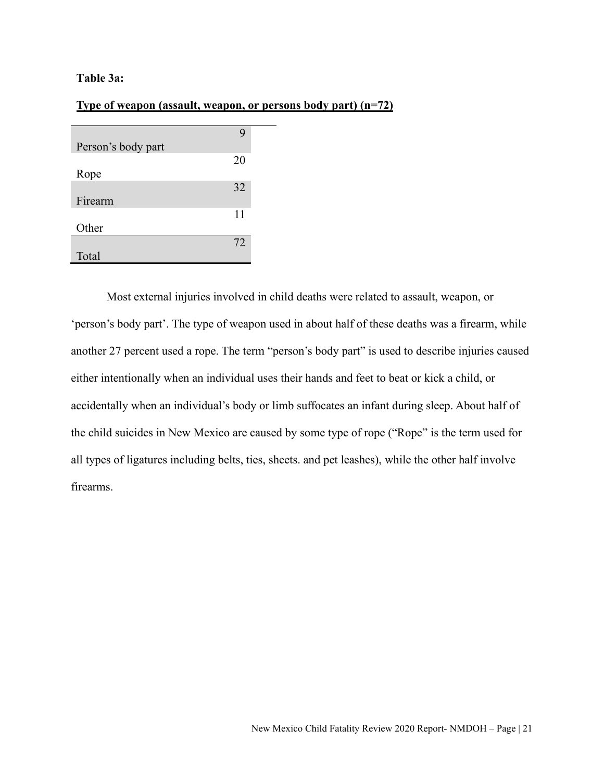#### **Table 3a:**

#### **Type of weapon (assault, weapon, or persons body part) (n=72)**

| Person's body part | Ÿ  |
|--------------------|----|
| Rope               | 20 |
| Firearm            | 32 |
| Other              | 11 |
|                    | 72 |
| Total              |    |

Most external injuries involved in child deaths were related to assault, weapon, or 'person's body part'. The type of weapon used in about half of these deaths was a firearm, while another 27 percent used a rope. The term "person's body part" is used to describe injuries caused either intentionally when an individual uses their hands and feet to beat or kick a child, or accidentally when an individual's body or limb suffocates an infant during sleep. About half of the child suicides in New Mexico are caused by some type of rope ("Rope" is the term used for all types of ligatures including belts, ties, sheets. and pet leashes), while the other half involve firearms.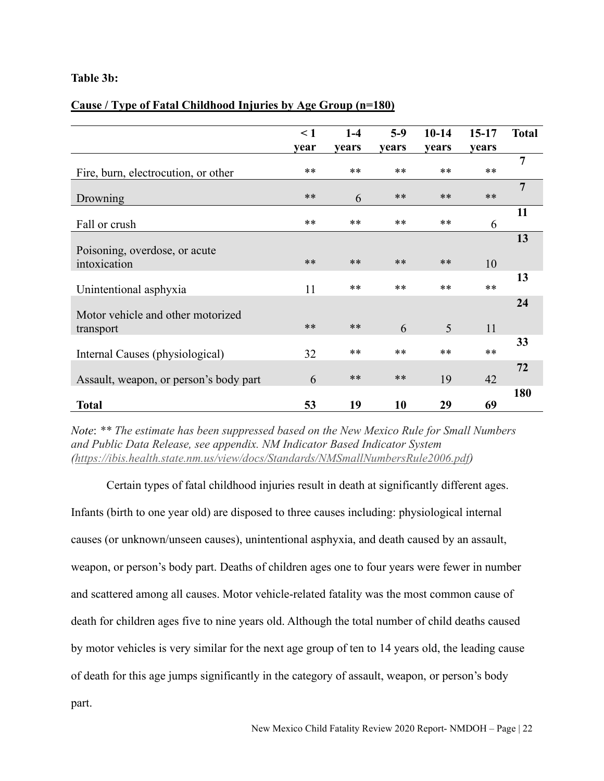## **Table 3b:**

## **Cause / Type of Fatal Childhood Injuries by Age Group (n=180)**

|                                        | $\leq 1$ | $1-4$        | $5-9$ | $10-14$ | $15-17$ | <b>Total</b>   |
|----------------------------------------|----------|--------------|-------|---------|---------|----------------|
|                                        | year     | <b>vears</b> | vears | vears   | years   |                |
| Fire, burn, electrocution, or other    | **       | **           | **    | $**$    | $**$    | $\overline{7}$ |
| Drowning                               | $**$     | 6            | $**$  | $**$    | $***$   | $\overline{7}$ |
| Fall or crush                          | $***$    | **           | $***$ | $**$    | 6       | 11             |
| Poisoning, overdose, or acute          |          |              |       |         |         | 13             |
| intoxication                           | $***$    | $**$         | $***$ | $**$    | 10      |                |
| Unintentional asphyxia                 | 11       | $***$        | $***$ | $**$    | $**$    | 13             |
| Motor vehicle and other motorized      |          |              |       |         |         | 24             |
| transport                              | $***$    | $**$         | 6     | 5       | 11      |                |
| Internal Causes (physiological)        | 32       | $***$        | **    | $**$    | $**$    | 33             |
| Assault, weapon, or person's body part | 6        | $**$         | $***$ | 19      | 42      | 72             |
| <b>Total</b>                           | 53       | 19           | 10    | 29      | 69      | 180            |

*Note*: *\*\* The estimate has been suppressed based on the New Mexico Rule for Small Numbers and Public Data Release, see appendix. NM Indicator Based Indicator System [\(https://ibis.health.state.nm.us/view/docs/Standards/NMSmallNumbersRule2006.pdf\)](https://ibis.health.state.nm.us/view/docs/Standards/NMSmallNumbersRule2006.pdf)* 

Certain types of fatal childhood injuries result in death at significantly different ages.

Infants (birth to one year old) are disposed to three causes including: physiological internal causes (or unknown/unseen causes), unintentional asphyxia, and death caused by an assault, weapon, or person's body part. Deaths of children ages one to four years were fewer in number and scattered among all causes. Motor vehicle-related fatality was the most common cause of death for children ages five to nine years old. Although the total number of child deaths caused by motor vehicles is very similar for the next age group of ten to 14 years old, the leading cause of death for this age jumps significantly in the category of assault, weapon, or person's body part.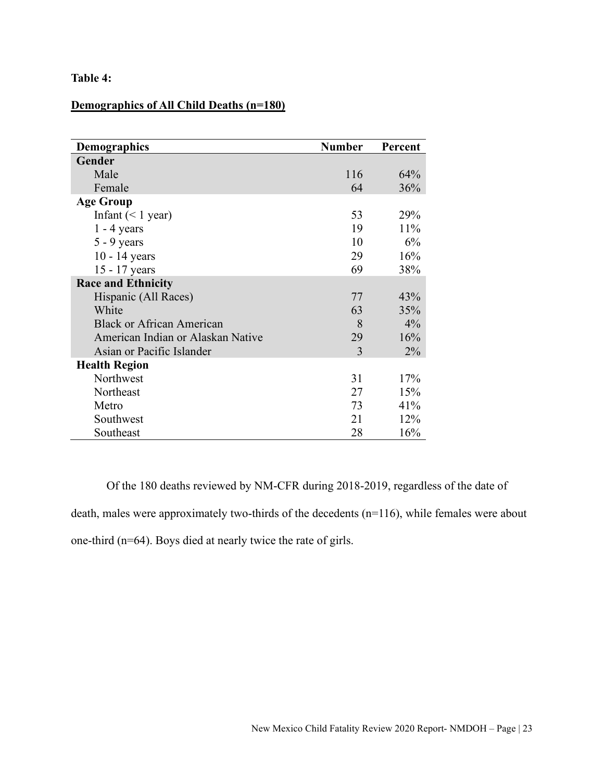## **Table 4:**

## **Demographics of All Child Deaths (n=180)**

| <b>Demographics</b>               | <b>Number</b> | Percent |
|-----------------------------------|---------------|---------|
| Gender                            |               |         |
| Male                              | 116           | 64%     |
| Female                            | 64            | 36%     |
| <b>Age Group</b>                  |               |         |
| Infant $(< 1$ year)               | 53            | 29%     |
| $1 - 4$ years                     | 19            | 11%     |
| $5 - 9$ years                     | 10            | 6%      |
| $10 - 14$ years                   | 29            | 16%     |
| 15 - 17 years                     | 69            | 38%     |
| <b>Race and Ethnicity</b>         |               |         |
| Hispanic (All Races)              | 77            | 43%     |
| White                             | 63            | 35%     |
| <b>Black or African American</b>  | 8             | 4%      |
| American Indian or Alaskan Native | 29            | 16%     |
| Asian or Pacific Islander         | 3             | $2\%$   |
| <b>Health Region</b>              |               |         |
| Northwest                         | 31            | 17%     |
| Northeast                         | 27            | 15%     |
| Metro                             | 73            | 41%     |
| Southwest                         | 21            | 12%     |
| Southeast                         | 28            | 16%     |

Of the 180 deaths reviewed by NM-CFR during 2018-2019, regardless of the date of death, males were approximately two-thirds of the decedents (n=116), while females were about one-third (n=64). Boys died at nearly twice the rate of girls.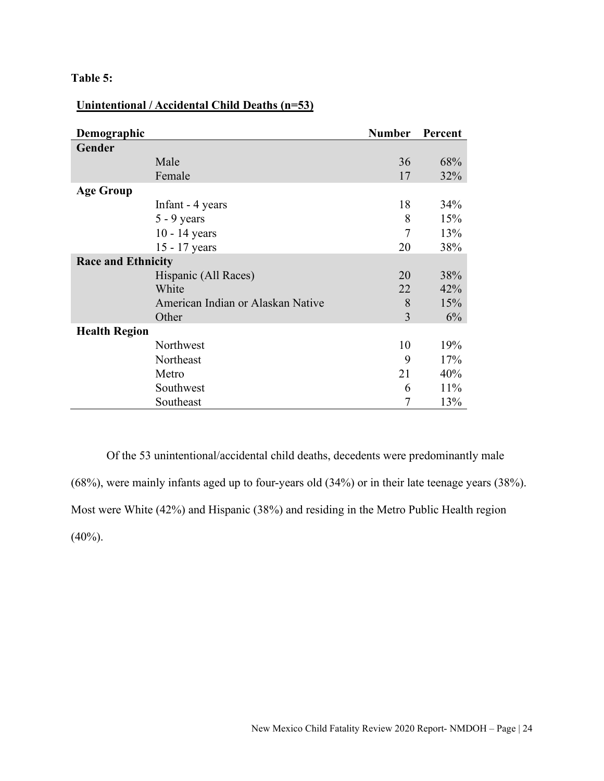## **Table 5:**

## **Unintentional / Accidental Child Deaths (n=53)**

| Demographic               |                                   | <b>Number</b> | Percent |
|---------------------------|-----------------------------------|---------------|---------|
| Gender                    |                                   |               |         |
|                           | Male                              | 36            | 68%     |
|                           | Female                            | 17            | 32%     |
| <b>Age Group</b>          |                                   |               |         |
|                           | Infant - 4 years                  | 18            | 34%     |
|                           | $5 - 9$ years                     | 8             | 15%     |
|                           | $10 - 14$ years                   | 7             | 13%     |
|                           | 15 - 17 years                     | 20            | 38%     |
| <b>Race and Ethnicity</b> |                                   |               |         |
|                           | Hispanic (All Races)              | 20            | 38%     |
|                           | White                             | 22            | 42%     |
|                           | American Indian or Alaskan Native | 8             | 15%     |
|                           | Other                             | 3             | 6%      |
| <b>Health Region</b>      |                                   |               |         |
|                           | Northwest                         | 10            | 19%     |
|                           | Northeast                         | 9             | 17%     |
|                           | Metro                             | 21            | 40%     |
|                           | Southwest                         | 6             | 11%     |
|                           | Southeast                         |               | 13%     |

Of the 53 unintentional/accidental child deaths, decedents were predominantly male (68%), were mainly infants aged up to four-years old (34%) or in their late teenage years (38%). Most were White (42%) and Hispanic (38%) and residing in the Metro Public Health region  $(40\%)$ .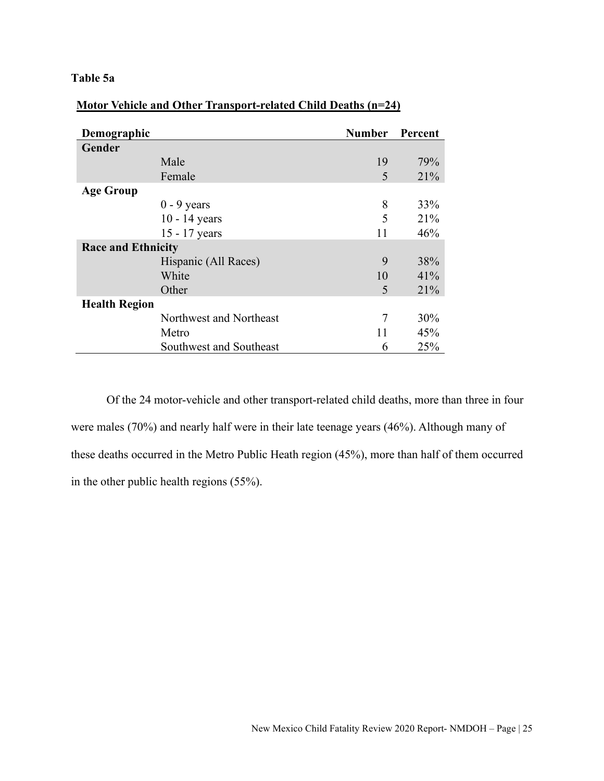## **Table 5a**

| Demographic               |                         | <b>Number</b> | Percent |
|---------------------------|-------------------------|---------------|---------|
| Gender                    |                         |               |         |
|                           | Male                    | 19            | 79%     |
|                           | Female                  | 5             | 21%     |
| <b>Age Group</b>          |                         |               |         |
|                           | $0 - 9$ years           | 8             | 33%     |
|                           | $10 - 14$ years         | 5             | 21%     |
|                           | 15 - 17 years           | 11            | 46%     |
| <b>Race and Ethnicity</b> |                         |               |         |
|                           | Hispanic (All Races)    | 9             | 38%     |
|                           | White                   | 10            | 41%     |
|                           | Other                   | 5             | 21%     |
| <b>Health Region</b>      |                         |               |         |
|                           | Northwest and Northeast | 7             | 30%     |
|                           | Metro                   | 11            | 45%     |
|                           | Southwest and Southeast | 6             | 25%     |

## **Motor Vehicle and Other Transport-related Child Deaths (n=24)**

Of the 24 motor-vehicle and other transport-related child deaths, more than three in four were males (70%) and nearly half were in their late teenage years (46%). Although many of these deaths occurred in the Metro Public Heath region (45%), more than half of them occurred in the other public health regions (55%).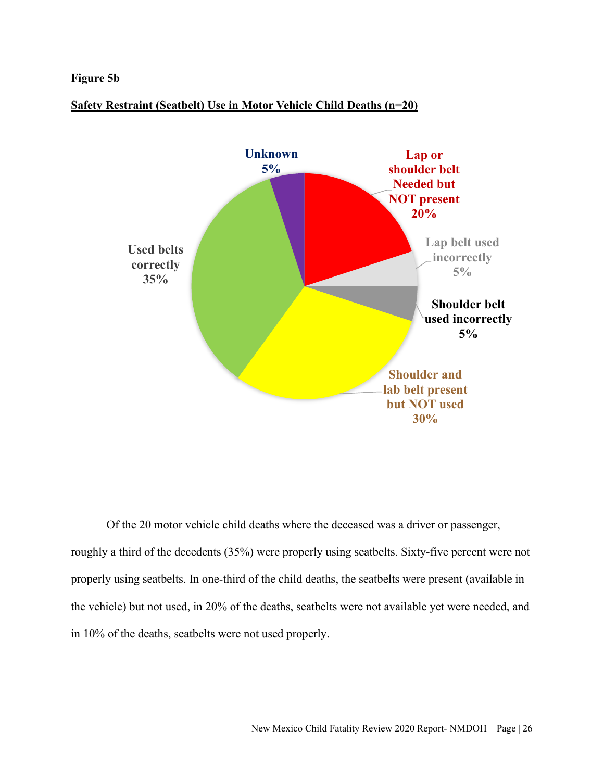#### **Figure 5b**



#### **Safety Restraint (Seatbelt) Use in Motor Vehicle Child Deaths (n=20)**

Of the 20 motor vehicle child deaths where the deceased was a driver or passenger, roughly a third of the decedents (35%) were properly using seatbelts. Sixty-five percent were not properly using seatbelts. In one-third of the child deaths, the seatbelts were present (available in the vehicle) but not used, in 20% of the deaths, seatbelts were not available yet were needed, and in 10% of the deaths, seatbelts were not used properly.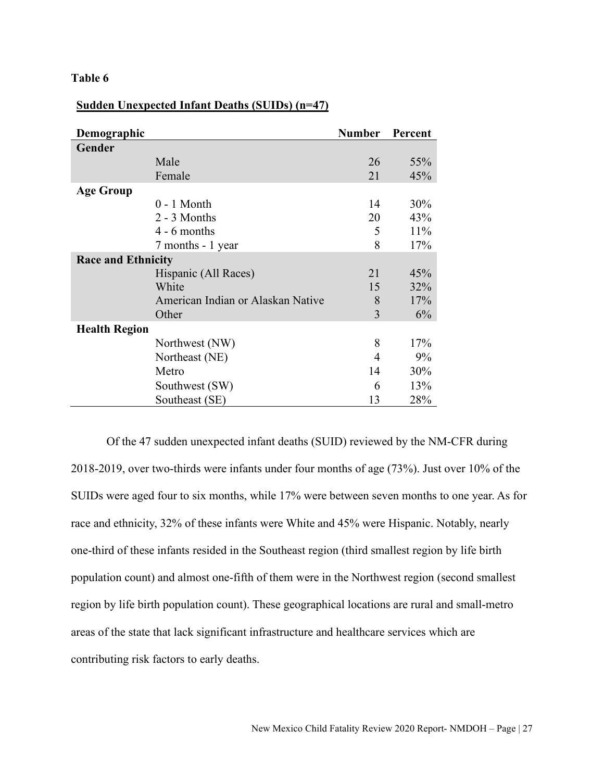#### **Table 6**

| Demographic               |                                        | <b>Number</b> | Percent |
|---------------------------|----------------------------------------|---------------|---------|
| Gender                    |                                        |               |         |
|                           | Male                                   | 26            | 55%     |
|                           | Female                                 | 21            | 45%     |
| <b>Age Group</b>          |                                        |               |         |
|                           | $0 - 1$ Month                          | 14            | 30%     |
|                           | 2 - 3 Months                           | 20            | 43%     |
|                           | $4 - 6$ months                         | 5             | 11%     |
|                           | 7 months - 1 year                      | 8             | 17%     |
| <b>Race and Ethnicity</b> |                                        |               |         |
|                           | Hispanic (All Races)                   | 21            | 45%     |
|                           | White                                  | 15            | 32%     |
|                           | American Indian or Alaskan Native<br>8 |               | 17%     |
|                           | Other                                  | 3             | 6%      |
| <b>Health Region</b>      |                                        |               |         |
|                           | Northwest (NW)                         | 8             | 17%     |
|                           | Northeast (NE)                         | 4             | 9%      |
|                           | Metro                                  | 14            | 30%     |
|                           | Southwest (SW)                         | 6             | 13%     |
|                           | Southeast (SE)                         | 13            | 28%     |

## **Sudden Unexpected Infant Deaths (SUIDs) (n=47)**

Of the 47 sudden unexpected infant deaths (SUID) reviewed by the NM-CFR during 2018-2019, over two-thirds were infants under four months of age (73%). Just over 10% of the SUIDs were aged four to six months, while 17% were between seven months to one year. As for race and ethnicity, 32% of these infants were White and 45% were Hispanic. Notably, nearly one-third of these infants resided in the Southeast region (third smallest region by life birth population count) and almost one-fifth of them were in the Northwest region (second smallest region by life birth population count). These geographical locations are rural and small-metro areas of the state that lack significant infrastructure and healthcare services which are contributing risk factors to early deaths.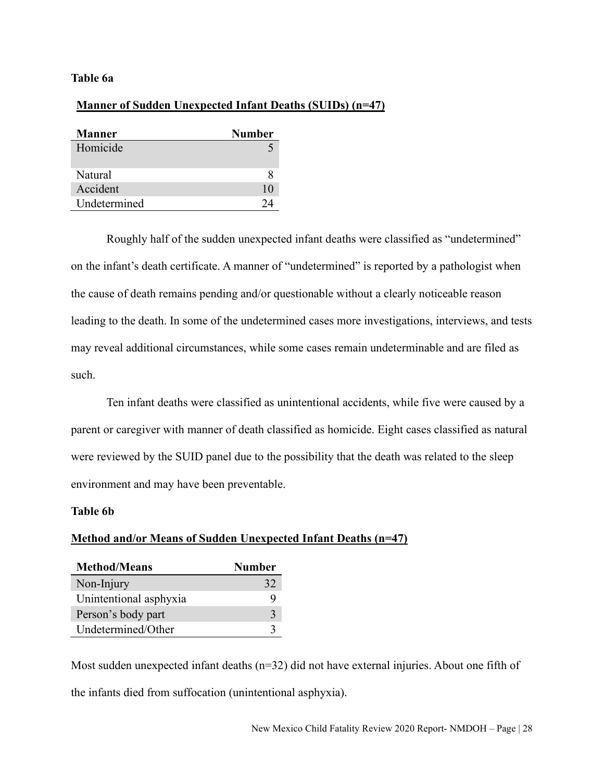#### **Table 6a**

#### **Manner of Sudden Unexpected Infant Deaths (SUIDs) (n=47)**

| <b>Manner</b> | Number |
|---------------|--------|
| Homicide      |        |
| Natural       |        |
| Accident      | 10     |
| Undetermined  |        |

Roughly half of the sudden unexpected infant deaths were classified as "undetermined" on the infant's death certificate. A manner of "undetermined" is reported by a pathologist when the cause of death remains pending and/or questionable without a clearly noticeable reason leading to the death. In some of the undetermined cases more investigations, interviews, and tests may reveal additional circumstances, while some cases remain undeterminable and are filed as such.

Ten infant deaths were classified as unintentional accidents, while five were caused by a parent or caregiver with manner of death classified as homicide. Eight cases classified as natural were reviewed by the SUID panel due to the possibility that the death was related to the sleep environment and may have been preventable.

#### **Table 6b**

#### **Method and/or Means of Sudden Unexpected Infant Deaths (n=47)**

| <b>Method/Means</b>    | Number       |
|------------------------|--------------|
| Non-Injury             | 32           |
| Unintentional asphyxia |              |
| Person's body part     | $\mathbf{z}$ |
| Undetermined/Other     |              |

Most sudden unexpected infant deaths (n=32) did not have external injuries. About one fifth of the infants died from suffocation (unintentional asphyxia).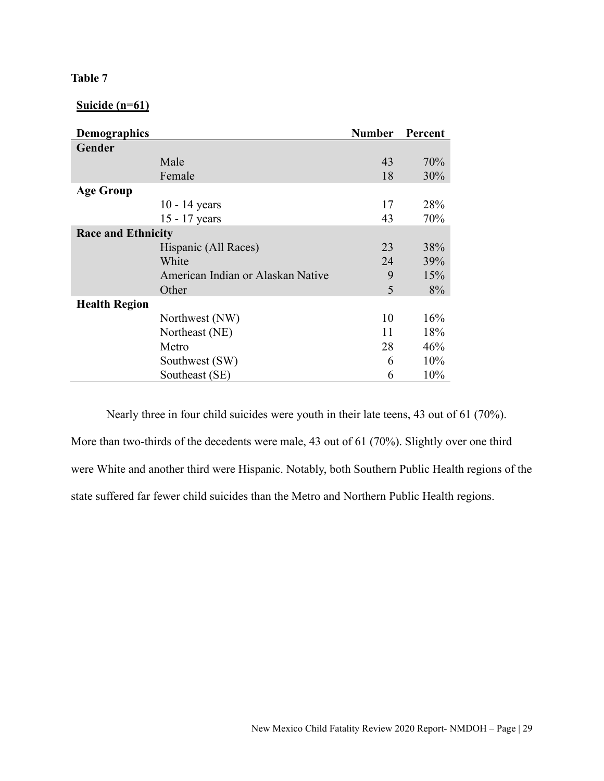## **Table 7**

**Suicide (n=61)**

| <b>Demographics</b>       |                                   | <b>Number</b> | Percent |
|---------------------------|-----------------------------------|---------------|---------|
| Gender                    |                                   |               |         |
|                           | Male                              | 43            | 70%     |
|                           | Female                            | 18            | 30%     |
| <b>Age Group</b>          |                                   |               |         |
|                           | $10 - 14$ years                   | 17            | 28%     |
|                           | 15 - 17 years                     | 43            | 70%     |
| <b>Race and Ethnicity</b> |                                   |               |         |
|                           | Hispanic (All Races)              | 23            | 38%     |
|                           | White                             | 24            | 39%     |
|                           | American Indian or Alaskan Native | 9             | 15%     |
|                           | Other                             | 5             | 8%      |
| <b>Health Region</b>      |                                   |               |         |
|                           | Northwest (NW)                    | 10            | 16%     |
|                           | Northeast (NE)                    | 11            | 18%     |
|                           | Metro                             | 28            | 46%     |
|                           | Southwest (SW)                    | 6             | 10%     |
|                           | Southeast (SE)                    | 6             | 10%     |

Nearly three in four child suicides were youth in their late teens, 43 out of 61 (70%). More than two-thirds of the decedents were male, 43 out of 61 (70%). Slightly over one third were White and another third were Hispanic. Notably, both Southern Public Health regions of the state suffered far fewer child suicides than the Metro and Northern Public Health regions.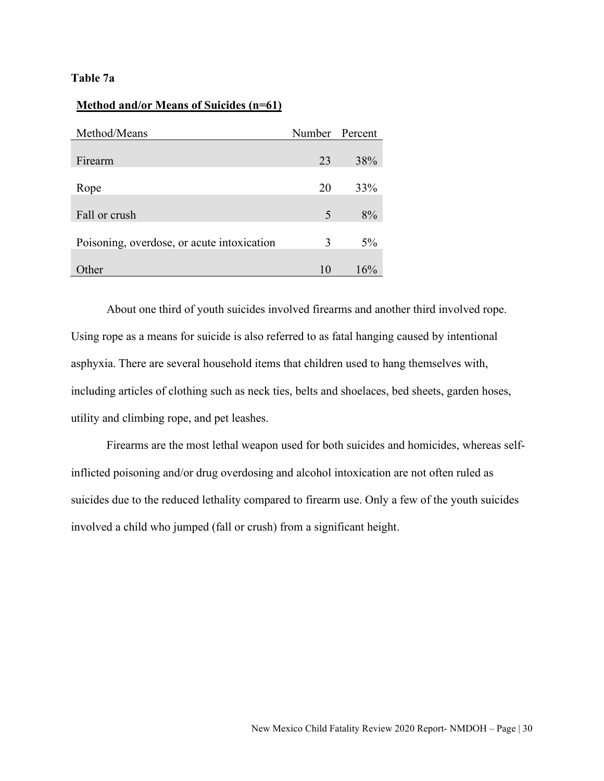## **Table 7a**

|  | Method and/or Means of Suicides (n=61) |  |
|--|----------------------------------------|--|
|  |                                        |  |

| Method/Means                               | Number Percent |     |
|--------------------------------------------|----------------|-----|
|                                            |                |     |
| Firearm                                    | 23             | 38% |
|                                            |                |     |
| Rope                                       | 20             | 33% |
|                                            |                |     |
| Fall or crush                              | 5              | 8%  |
|                                            |                |     |
| Poisoning, overdose, or acute intoxication | 3              | 5%  |
|                                            |                |     |
| Other                                      | 10             | 16% |

About one third of youth suicides involved firearms and another third involved rope. Using rope as a means for suicide is also referred to as fatal hanging caused by intentional asphyxia. There are several household items that children used to hang themselves with, including articles of clothing such as neck ties, belts and shoelaces, bed sheets, garden hoses, utility and climbing rope, and pet leashes.

Firearms are the most lethal weapon used for both suicides and homicides, whereas selfinflicted poisoning and/or drug overdosing and alcohol intoxication are not often ruled as suicides due to the reduced lethality compared to firearm use. Only a few of the youth suicides involved a child who jumped (fall or crush) from a significant height.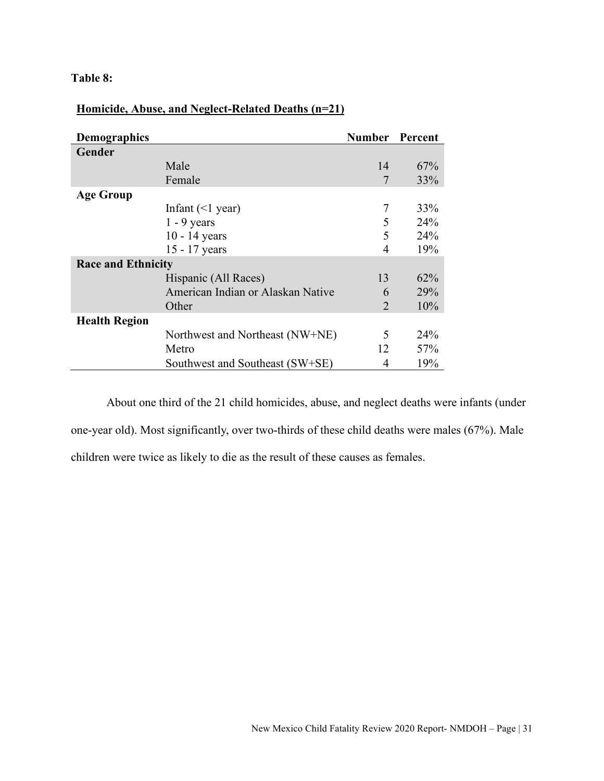## **Table 8:**

| <b>Demographics</b>       |                                   | <b>Number</b> Percent |     |
|---------------------------|-----------------------------------|-----------------------|-----|
| Gender                    |                                   |                       |     |
|                           | Male                              | 14                    | 67% |
|                           | Female                            | 7                     | 33% |
| <b>Age Group</b>          |                                   |                       |     |
|                           | Infant $(\leq)$ year)             | 7                     | 33% |
|                           | $1 - 9$ years                     | 5                     | 24% |
|                           | $10 - 14$ years                   | 5                     | 24% |
|                           | 15 - 17 years                     | 4                     | 19% |
| <b>Race and Ethnicity</b> |                                   |                       |     |
|                           | Hispanic (All Races)              | 13                    | 62% |
|                           | American Indian or Alaskan Native | 6                     | 29% |
|                           | Other                             | $\mathcal{D}_{\cdot}$ | 10% |
| <b>Health Region</b>      |                                   |                       |     |
|                           | Northwest and Northeast (NW+NE)   | 5                     | 24% |
|                           | Metro                             | 12                    | 57% |
|                           | Southwest and Southeast (SW+SE)   | 4                     | 19% |

## **Homicide, Abuse, and Neglect-Related Deaths (n=21)**

About one third of the 21 child homicides, abuse, and neglect deaths were infants (under one-year old). Most significantly, over two-thirds of these child deaths were males (67%). Male children were twice as likely to die as the result of these causes as females.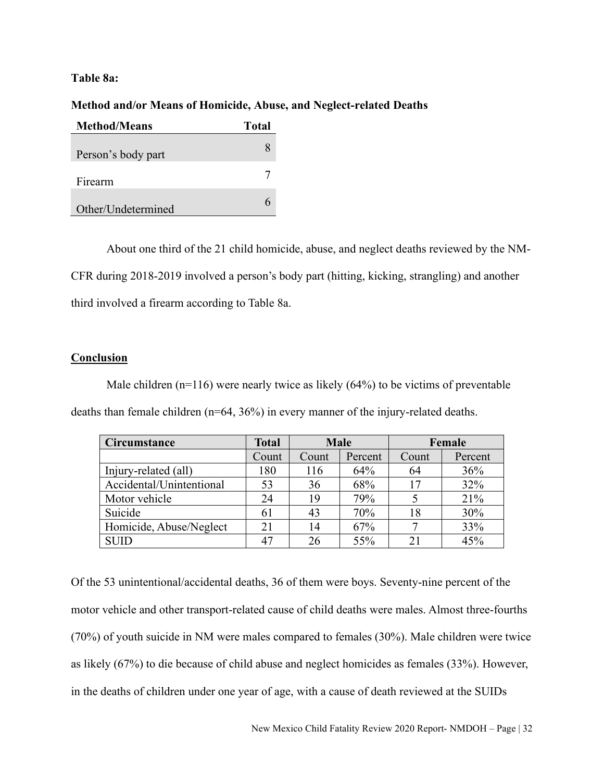#### **Table 8a:**

#### **Method and/or Means of Homicide, Abuse, and Neglect-related Deaths**

| <b>Method/Means</b> | Total |
|---------------------|-------|
| Person's body part  |       |
| Firearm             |       |
| Other/Undetermined  |       |

About one third of the 21 child homicide, abuse, and neglect deaths reviewed by the NM-CFR during 2018-2019 involved a person's body part (hitting, kicking, strangling) and another third involved a firearm according to Table 8a.

## **Conclusion**

Male children  $(n=116)$  were nearly twice as likely  $(64%)$  to be victims of preventable deaths than female children (n=64, 36%) in every manner of the injury-related deaths.

| <b>Circumstance</b>      | <b>Total</b> | <b>Male</b> |         | Female |         |
|--------------------------|--------------|-------------|---------|--------|---------|
|                          | Count        | Count       | Percent | Count  | Percent |
| Injury-related (all)     | 180          | 116         | 64%     | 64     | 36%     |
| Accidental/Unintentional | 53           | 36          | 68%     | 17     | 32%     |
| Motor vehicle            | 24           | 19          | 79%     |        | 21%     |
| Suicide                  | 61           | 43          | 70%     | 18     | 30%     |
| Homicide, Abuse/Neglect  | 21           | 14          | 67%     |        | 33%     |
| <b>SUID</b>              | 47           | 26          | 55%     | 21     | 45%     |

Of the 53 unintentional/accidental deaths, 36 of them were boys. Seventy-nine percent of the motor vehicle and other transport-related cause of child deaths were males. Almost three-fourths (70%) of youth suicide in NM were males compared to females (30%). Male children were twice as likely (67%) to die because of child abuse and neglect homicides as females (33%). However, in the deaths of children under one year of age, with a cause of death reviewed at the SUIDs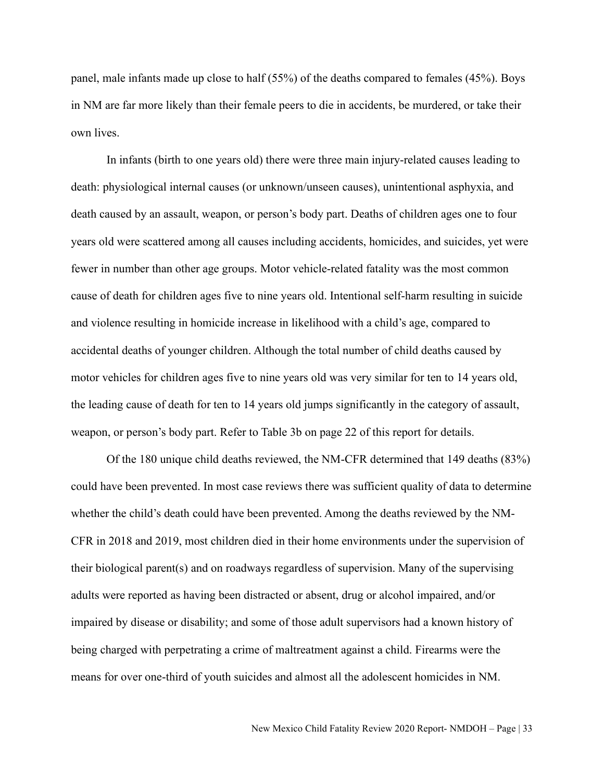panel, male infants made up close to half (55%) of the deaths compared to females (45%). Boys in NM are far more likely than their female peers to die in accidents, be murdered, or take their own lives.

In infants (birth to one years old) there were three main injury-related causes leading to death: physiological internal causes (or unknown/unseen causes), unintentional asphyxia, and death caused by an assault, weapon, or person's body part. Deaths of children ages one to four years old were scattered among all causes including accidents, homicides, and suicides, yet were fewer in number than other age groups. Motor vehicle-related fatality was the most common cause of death for children ages five to nine years old. Intentional self-harm resulting in suicide and violence resulting in homicide increase in likelihood with a child's age, compared to accidental deaths of younger children. Although the total number of child deaths caused by motor vehicles for children ages five to nine years old was very similar for ten to 14 years old, the leading cause of death for ten to 14 years old jumps significantly in the category of assault, weapon, or person's body part. Refer to Table 3b on page 22 of this report for details.

Of the 180 unique child deaths reviewed, the NM-CFR determined that 149 deaths (83%) could have been prevented. In most case reviews there was sufficient quality of data to determine whether the child's death could have been prevented. Among the deaths reviewed by the NM-CFR in 2018 and 2019, most children died in their home environments under the supervision of their biological parent(s) and on roadways regardless of supervision. Many of the supervising adults were reported as having been distracted or absent, drug or alcohol impaired, and/or impaired by disease or disability; and some of those adult supervisors had a known history of being charged with perpetrating a crime of maltreatment against a child. Firearms were the means for over one-third of youth suicides and almost all the adolescent homicides in NM.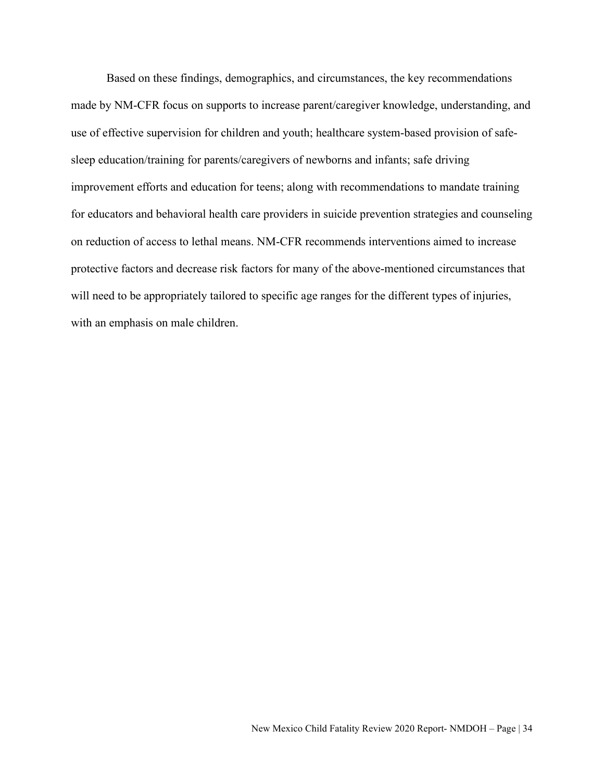Based on these findings, demographics, and circumstances, the key recommendations made by NM-CFR focus on supports to increase parent/caregiver knowledge, understanding, and use of effective supervision for children and youth; healthcare system-based provision of safesleep education/training for parents/caregivers of newborns and infants; safe driving improvement efforts and education for teens; along with recommendations to mandate training for educators and behavioral health care providers in suicide prevention strategies and counseling on reduction of access to lethal means. NM-CFR recommends interventions aimed to increase protective factors and decrease risk factors for many of the above-mentioned circumstances that will need to be appropriately tailored to specific age ranges for the different types of injuries, with an emphasis on male children.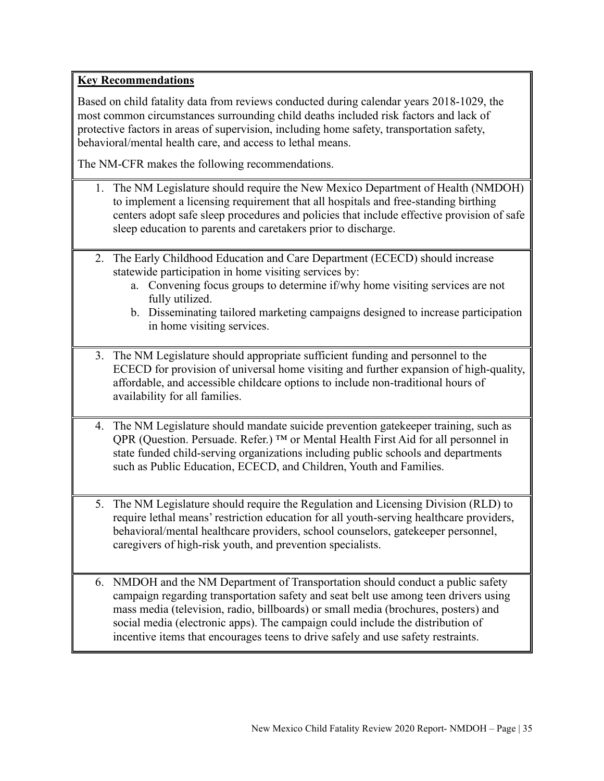## **Key Recommendations**

Based on child fatality data from reviews conducted during calendar years 2018-1029, the most common circumstances surrounding child deaths included risk factors and lack of protective factors in areas of supervision, including home safety, transportation safety, behavioral/mental health care, and access to lethal means.

The NM-CFR makes the following recommendations.

- 1. The NM Legislature should require the New Mexico Department of Health (NMDOH) to implement a licensing requirement that all hospitals and free-standing birthing centers adopt safe sleep procedures and policies that include effective provision of safe sleep education to parents and caretakers prior to discharge.
- 2. The Early Childhood Education and Care Department (ECECD) should increase statewide participation in home visiting services by:
	- a. Convening focus groups to determine if/why home visiting services are not fully utilized.
	- b. Disseminating tailored marketing campaigns designed to increase participation in home visiting services.
- 3. The NM Legislature should appropriate sufficient funding and personnel to the ECECD for provision of universal home visiting and further expansion of high-quality, affordable, and accessible childcare options to include non-traditional hours of availability for all families.
- 4. The NM Legislature should mandate suicide prevention gatekeeper training, such as QPR (Question. Persuade. Refer.) ™ or Mental Health First Aid for all personnel in state funded child-serving organizations including public schools and departments such as Public Education, ECECD, and Children, Youth and Families.
- 5. The NM Legislature should require the Regulation and Licensing Division (RLD) to require lethal means' restriction education for all youth-serving healthcare providers, behavioral/mental healthcare providers, school counselors, gatekeeper personnel, caregivers of high-risk youth, and prevention specialists.
- 6. NMDOH and the NM Department of Transportation should conduct a public safety campaign regarding transportation safety and seat belt use among teen drivers using mass media (television, radio, billboards) or small media (brochures, posters) and social media (electronic apps). The campaign could include the distribution of incentive items that encourages teens to drive safely and use safety restraints.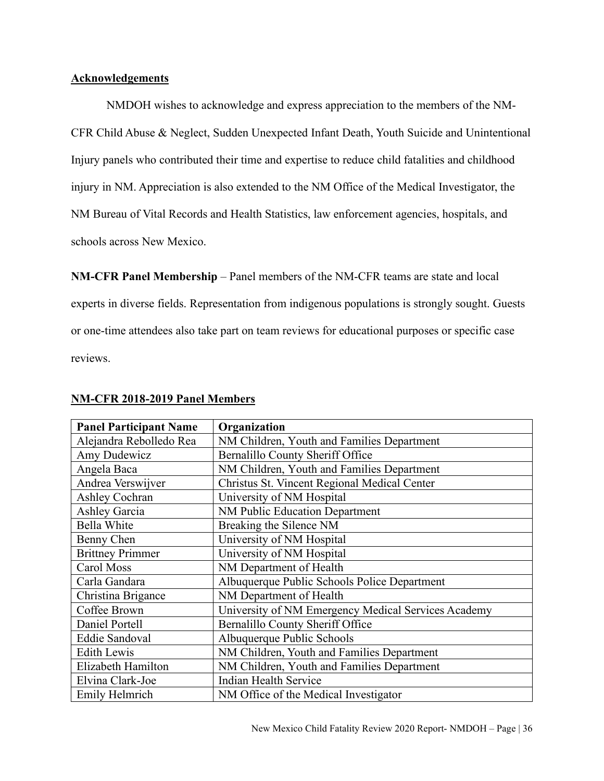#### **Acknowledgements**

NMDOH wishes to acknowledge and express appreciation to the members of the NM-CFR Child Abuse & Neglect, Sudden Unexpected Infant Death, Youth Suicide and Unintentional Injury panels who contributed their time and expertise to reduce child fatalities and childhood injury in NM. Appreciation is also extended to the NM Office of the Medical Investigator, the NM Bureau of Vital Records and Health Statistics, law enforcement agencies, hospitals, and schools across New Mexico.

**NM-CFR Panel Membership** – Panel members of the NM-CFR teams are state and local experts in diverse fields. Representation from indigenous populations is strongly sought. Guests or one-time attendees also take part on team reviews for educational purposes or specific case reviews.

| <b>Panel Participant Name</b> | Organization                                        |
|-------------------------------|-----------------------------------------------------|
| Alejandra Rebolledo Rea       | NM Children, Youth and Families Department          |
| Amy Dudewicz                  | <b>Bernalillo County Sheriff Office</b>             |
| Angela Baca                   | NM Children, Youth and Families Department          |
| Andrea Verswijver             | Christus St. Vincent Regional Medical Center        |
| Ashley Cochran                | University of NM Hospital                           |
| Ashley Garcia                 | NM Public Education Department                      |
| <b>Bella White</b>            | Breaking the Silence NM                             |
| Benny Chen                    | University of NM Hospital                           |
| <b>Brittney Primmer</b>       | University of NM Hospital                           |
| Carol Moss                    | NM Department of Health                             |
| Carla Gandara                 | Albuquerque Public Schools Police Department        |
| Christina Brigance            | NM Department of Health                             |
| Coffee Brown                  | University of NM Emergency Medical Services Academy |
| Daniel Portell                | Bernalillo County Sheriff Office                    |
| Eddie Sandoval                | Albuquerque Public Schools                          |
| <b>Edith Lewis</b>            | NM Children, Youth and Families Department          |
| Elizabeth Hamilton            | NM Children, Youth and Families Department          |
| Elvina Clark-Joe              | <b>Indian Health Service</b>                        |
| Emily Helmrich                | NM Office of the Medical Investigator               |

#### **NM-CFR 2018-2019 Panel Members**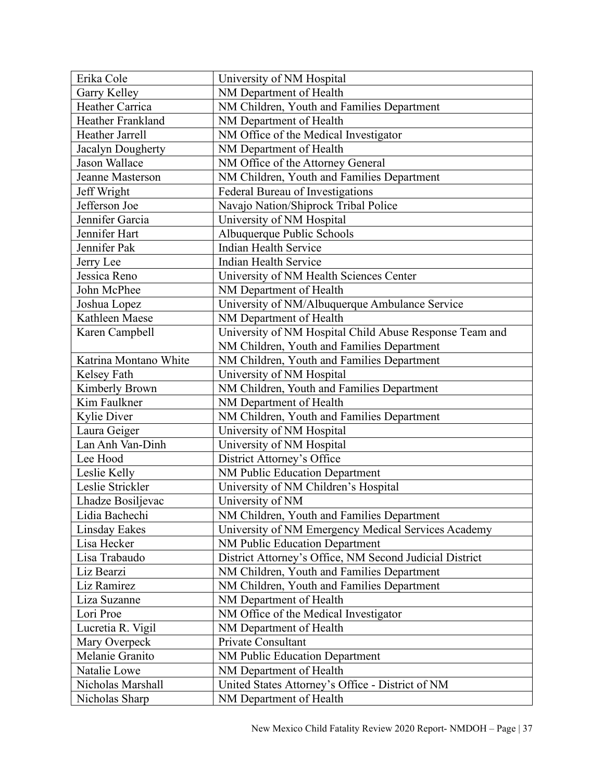| Erika Cole            | University of NM Hospital                               |  |  |
|-----------------------|---------------------------------------------------------|--|--|
| Garry Kelley          | NM Department of Health                                 |  |  |
| Heather Carrica       | NM Children, Youth and Families Department              |  |  |
| Heather Frankland     | NM Department of Health                                 |  |  |
| Heather Jarrell       | NM Office of the Medical Investigator                   |  |  |
| Jacalyn Dougherty     | NM Department of Health                                 |  |  |
| Jason Wallace         | NM Office of the Attorney General                       |  |  |
| Jeanne Masterson      | NM Children, Youth and Families Department              |  |  |
| Jeff Wright           | Federal Bureau of Investigations                        |  |  |
| Jefferson Joe         | Navajo Nation/Shiprock Tribal Police                    |  |  |
| Jennifer Garcia       | University of NM Hospital                               |  |  |
| Jennifer Hart         | Albuquerque Public Schools                              |  |  |
| Jennifer Pak          | <b>Indian Health Service</b>                            |  |  |
| Jerry Lee             | <b>Indian Health Service</b>                            |  |  |
| Jessica Reno          | University of NM Health Sciences Center                 |  |  |
| John McPhee           | NM Department of Health                                 |  |  |
| Joshua Lopez          | University of NM/Albuquerque Ambulance Service          |  |  |
| Kathleen Maese        | NM Department of Health                                 |  |  |
| Karen Campbell        | University of NM Hospital Child Abuse Response Team and |  |  |
|                       | NM Children, Youth and Families Department              |  |  |
| Katrina Montano White | NM Children, Youth and Families Department              |  |  |
| Kelsey Fath           | University of NM Hospital                               |  |  |
| Kimberly Brown        | NM Children, Youth and Families Department              |  |  |
| Kim Faulkner          | NM Department of Health                                 |  |  |
| <b>Kylie Diver</b>    | NM Children, Youth and Families Department              |  |  |
| Laura Geiger          | University of NM Hospital                               |  |  |
| Lan Anh Van-Dinh      | University of NM Hospital                               |  |  |
| Lee Hood              | District Attorney's Office                              |  |  |
| Leslie Kelly          | NM Public Education Department                          |  |  |
| Leslie Strickler      | University of NM Children's Hospital                    |  |  |
| Lhadze Bosiljevac     | University of NM                                        |  |  |
| Lidia Bachechi        | NM Children, Youth and Families Department              |  |  |
| Linsday Eakes         | University of NM Emergency Medical Services Academy     |  |  |
| Lisa Hecker           | NM Public Education Department                          |  |  |
| Lisa Trabaudo         | District Attorney's Office, NM Second Judicial District |  |  |
| Liz Bearzi            | NM Children, Youth and Families Department              |  |  |
| Liz Ramirez           | NM Children, Youth and Families Department              |  |  |
| Liza Suzanne          | NM Department of Health                                 |  |  |
| Lori Proe             | NM Office of the Medical Investigator                   |  |  |
| Lucretia R. Vigil     | NM Department of Health                                 |  |  |
| Mary Overpeck         | Private Consultant                                      |  |  |
| Melanie Granito       | NM Public Education Department                          |  |  |
| Natalie Lowe          | NM Department of Health                                 |  |  |
| Nicholas Marshall     | United States Attorney's Office - District of NM        |  |  |
| Nicholas Sharp        | NM Department of Health                                 |  |  |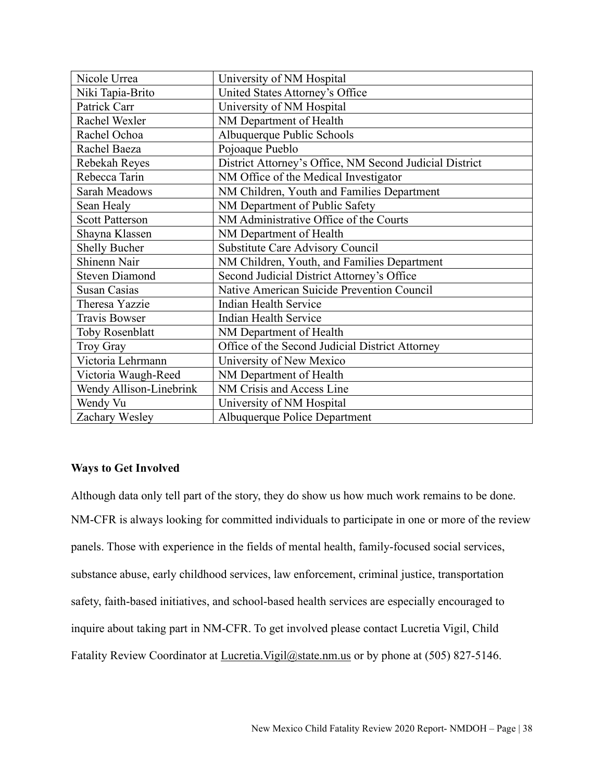| Nicole Urrea            | University of NM Hospital                               |  |  |
|-------------------------|---------------------------------------------------------|--|--|
| Niki Tapia-Brito        | United States Attorney's Office                         |  |  |
| Patrick Carr            | University of NM Hospital                               |  |  |
| Rachel Wexler           | NM Department of Health                                 |  |  |
| Rachel Ochoa            | Albuquerque Public Schools                              |  |  |
| Rachel Baeza            | Pojoaque Pueblo                                         |  |  |
| Rebekah Reyes           | District Attorney's Office, NM Second Judicial District |  |  |
| Rebecca Tarin           | NM Office of the Medical Investigator                   |  |  |
| Sarah Meadows           | NM Children, Youth and Families Department              |  |  |
| Sean Healy              | NM Department of Public Safety                          |  |  |
| <b>Scott Patterson</b>  | NM Administrative Office of the Courts                  |  |  |
| Shayna Klassen          | NM Department of Health                                 |  |  |
| <b>Shelly Bucher</b>    | Substitute Care Advisory Council                        |  |  |
| Shinenn Nair            | NM Children, Youth, and Families Department             |  |  |
| <b>Steven Diamond</b>   | Second Judicial District Attorney's Office              |  |  |
| <b>Susan Casias</b>     | Native American Suicide Prevention Council              |  |  |
| Theresa Yazzie          | <b>Indian Health Service</b>                            |  |  |
| <b>Travis Bowser</b>    | <b>Indian Health Service</b>                            |  |  |
| <b>Toby Rosenblatt</b>  | NM Department of Health                                 |  |  |
| Troy Gray               | Office of the Second Judicial District Attorney         |  |  |
| Victoria Lehrmann       | University of New Mexico                                |  |  |
| Victoria Waugh-Reed     | NM Department of Health                                 |  |  |
| Wendy Allison-Linebrink | NM Crisis and Access Line                               |  |  |
| Wendy Vu                | University of NM Hospital                               |  |  |
| Zachary Wesley          | Albuquerque Police Department                           |  |  |

## **Ways to Get Involved**

Although data only tell part of the story, they do show us how much work remains to be done. NM-CFR is always looking for committed individuals to participate in one or more of the review panels. Those with experience in the fields of mental health, family-focused social services, substance abuse, early childhood services, law enforcement, criminal justice, transportation safety, faith-based initiatives, and school-based health services are especially encouraged to inquire about taking part in NM-CFR. To get involved please contact Lucretia Vigil, Child Fatality Review Coordinator at *Lucretia.Vigil@state.nm.us* or by phone at (505) 827-5146.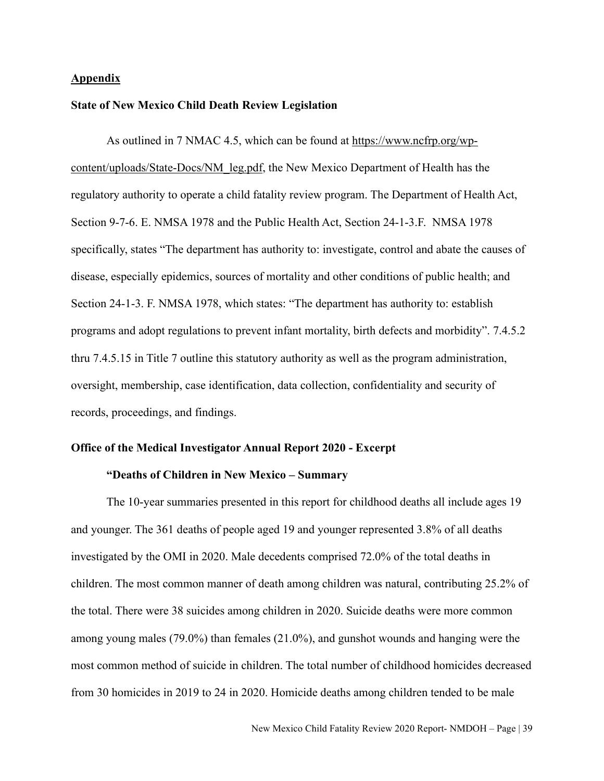#### **Appendix**

#### **State of New Mexico Child Death Review Legislation**

As outlined in 7 NMAC 4.5, which can be found at [https://www.ncfrp.org/wp](https://www.ncfrp.org/wp-content/uploads/State-Docs/NM_leg.pdf)[content/uploads/State-Docs/NM\\_leg.pdf,](https://www.ncfrp.org/wp-content/uploads/State-Docs/NM_leg.pdf) the New Mexico Department of Health has the regulatory authority to operate a child fatality review program. The Department of Health Act, Section 9-7-6. E. NMSA 1978 and the Public Health Act, Section 24-1-3.F. NMSA 1978 specifically, states "The department has authority to: investigate, control and abate the causes of disease, especially epidemics, sources of mortality and other conditions of public health; and Section 24-1-3. F. NMSA 1978, which states: "The department has authority to: establish programs and adopt regulations to prevent infant mortality, birth defects and morbidity". 7.4.5.2 thru 7.4.5.15 in Title 7 outline this statutory authority as well as the program administration, oversight, membership, case identification, data collection, confidentiality and security of records, proceedings, and findings.

#### **Office of the Medical Investigator Annual Report 2020 - Excerpt**

#### **"Deaths of Children in New Mexico – Summary**

The 10-year summaries presented in this report for childhood deaths all include ages 19 and younger. The 361 deaths of people aged 19 and younger represented 3.8% of all deaths investigated by the OMI in 2020. Male decedents comprised 72.0% of the total deaths in children. The most common manner of death among children was natural, contributing 25.2% of the total. There were 38 suicides among children in 2020. Suicide deaths were more common among young males (79.0%) than females (21.0%), and gunshot wounds and hanging were the most common method of suicide in children. The total number of childhood homicides decreased from 30 homicides in 2019 to 24 in 2020. Homicide deaths among children tended to be male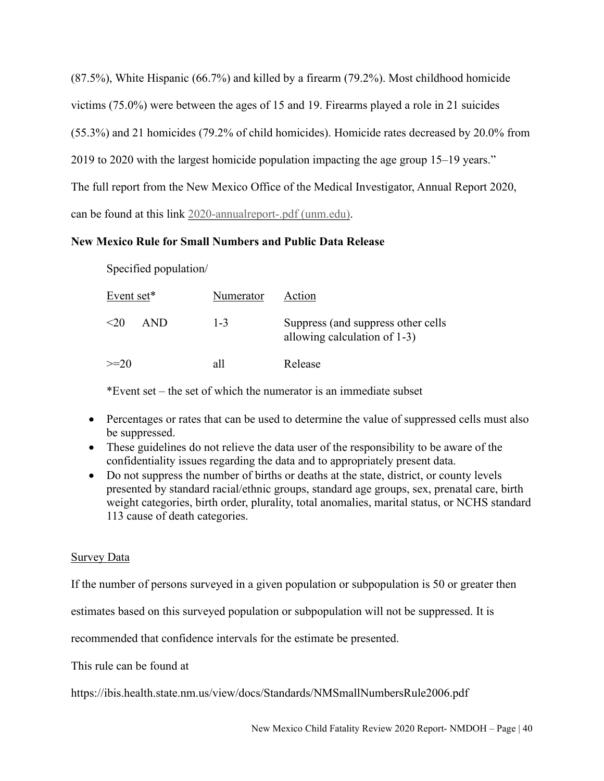(87.5%), White Hispanic (66.7%) and killed by a firearm (79.2%). Most childhood homicide victims (75.0%) were between the ages of 15 and 19. Firearms played a role in 21 suicides (55.3%) and 21 homicides (79.2% of child homicides). Homicide rates decreased by 20.0% from 2019 to 2020 with the largest homicide population impacting the age group 15–19 years." The full report from the New Mexico Office of the Medical Investigator, Annual Report 2020, can be found at this link [2020-annualreport-.pdf \(unm.edu\).](https://hsc.unm.edu/omi/2020-annualreport-.pdf)

## **New Mexico Rule for Small Numbers and Public Data Release**

Specified population/

| Event set* |            | Numerator | Action                                                                |
|------------|------------|-----------|-----------------------------------------------------------------------|
| $\leq 20$  | <b>AND</b> | $1 - 3$   | Suppress (and suppress other cells<br>allowing calculation of $1-3$ ) |
| $>=20$     |            | all       | Release                                                               |

\*Event set – the set of which the numerator is an immediate subset

- Percentages or rates that can be used to determine the value of suppressed cells must also be suppressed.
- These guidelines do not relieve the data user of the responsibility to be aware of the confidentiality issues regarding the data and to appropriately present data.
- Do not suppress the number of births or deaths at the state, district, or county levels presented by standard racial/ethnic groups, standard age groups, sex, prenatal care, birth weight categories, birth order, plurality, total anomalies, marital status, or NCHS standard 113 cause of death categories.

## Survey Data

If the number of persons surveyed in a given population or subpopulation is 50 or greater then

estimates based on this surveyed population or subpopulation will not be suppressed. It is

recommended that confidence intervals for the estimate be presented.

This rule can be found at

https://ibis.health.state.nm.us/view/docs/Standards/NMSmallNumbersRule2006.pdf